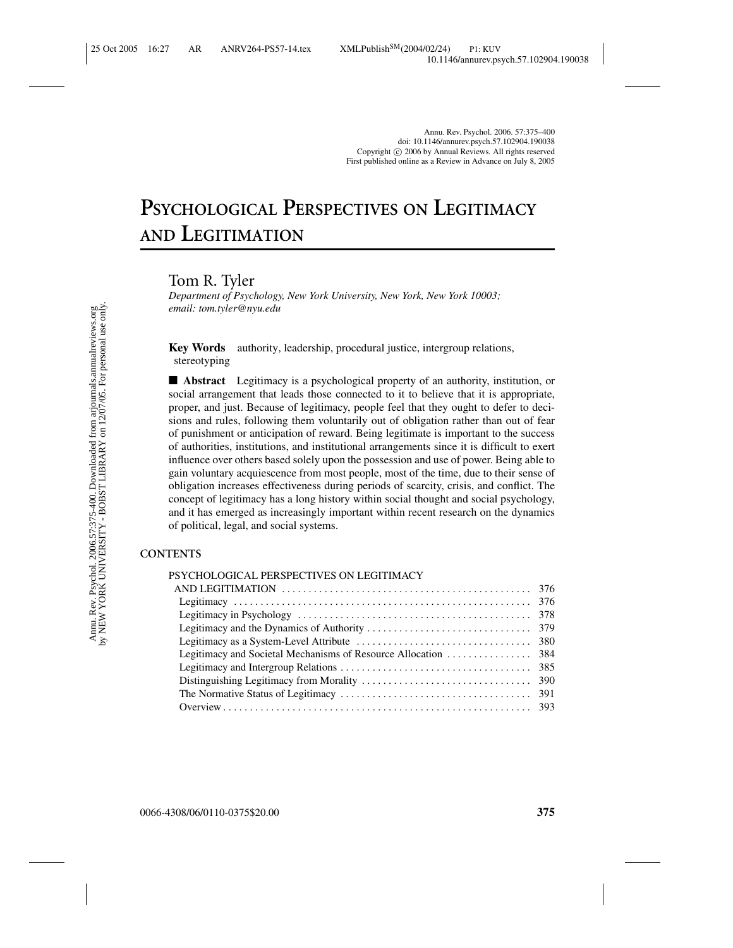# **PSYCHOLOGICAL PERSPECTIVES ON LEGITIMACY AND LEGITIMATION**

Tom R. Tyler

*Department of Psychology, New York University, New York, New York 10003; email: tom.tyler@nyu.edu*

**Key Words** authority, leadership, procedural justice, intergroup relations, stereotyping

■ **Abstract** Legitimacy is a psychological property of an authority, institution, or social arrangement that leads those connected to it to believe that it is appropriate, proper, and just. Because of legitimacy, people feel that they ought to defer to decisions and rules, following them voluntarily out of obligation rather than out of fear of punishment or anticipation of reward. Being legitimate is important to the success of authorities, institutions, and institutional arrangements since it is difficult to exert influence over others based solely upon the possession and use of power. Being able to gain voluntary acquiescence from most people, most of the time, due to their sense of obligation increases effectiveness during periods of scarcity, crisis, and conflict. The concept of legitimacy has a long history within social thought and social psychology, and it has emerged as increasingly important within recent research on the dynamics of political, legal, and social systems.

## **CONTENTS**

#### PSYCHOLOGICAL PERSPECTIVES ON LEGITIMACY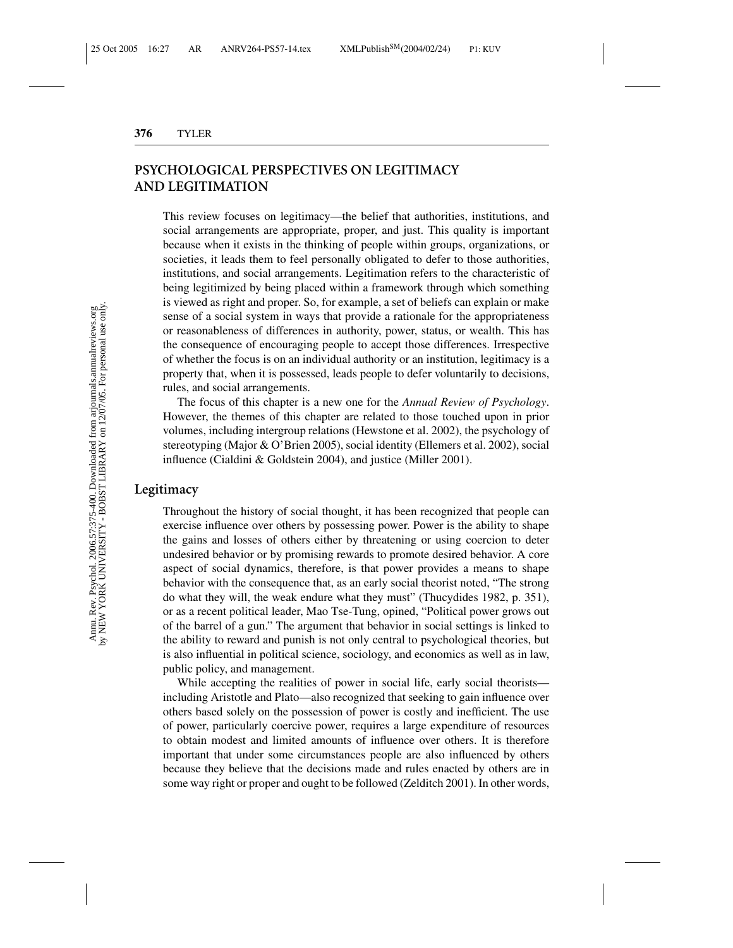# **PSYCHOLOGICAL PERSPECTIVES ON LEGITIMACY AND LEGITIMATION**

This review focuses on legitimacy—the belief that authorities, institutions, and social arrangements are appropriate, proper, and just. This quality is important because when it exists in the thinking of people within groups, organizations, or societies, it leads them to feel personally obligated to defer to those authorities, institutions, and social arrangements. Legitimation refers to the characteristic of being legitimized by being placed within a framework through which something is viewed as right and proper. So, for example, a set of beliefs can explain or make sense of a social system in ways that provide a rationale for the appropriateness or reasonableness of differences in authority, power, status, or wealth. This has the consequence of encouraging people to accept those differences. Irrespective of whether the focus is on an individual authority or an institution, legitimacy is a property that, when it is possessed, leads people to defer voluntarily to decisions, rules, and social arrangements.

The focus of this chapter is a new one for the *Annual Review of Psychology*. However, the themes of this chapter are related to those touched upon in prior volumes, including intergroup relations (Hewstone et al. 2002), the psychology of stereotyping (Major & O'Brien 2005), social identity (Ellemers et al. 2002), social influence (Cialdini & Goldstein 2004), and justice (Miller 2001).

## **Legitimacy**

Throughout the history of social thought, it has been recognized that people can exercise influence over others by possessing power. Power is the ability to shape the gains and losses of others either by threatening or using coercion to deter undesired behavior or by promising rewards to promote desired behavior. A core aspect of social dynamics, therefore, is that power provides a means to shape behavior with the consequence that, as an early social theorist noted, "The strong do what they will, the weak endure what they must" (Thucydides 1982, p. 351), or as a recent political leader, Mao Tse-Tung, opined, "Political power grows out of the barrel of a gun." The argument that behavior in social settings is linked to the ability to reward and punish is not only central to psychological theories, but is also influential in political science, sociology, and economics as well as in law, public policy, and management.

While accepting the realities of power in social life, early social theorists including Aristotle and Plato—also recognized that seeking to gain influence over others based solely on the possession of power is costly and inefficient. The use of power, particularly coercive power, requires a large expenditure of resources to obtain modest and limited amounts of influence over others. It is therefore important that under some circumstances people are also influenced by others because they believe that the decisions made and rules enacted by others are in some way right or proper and ought to be followed (Zelditch 2001). In other words,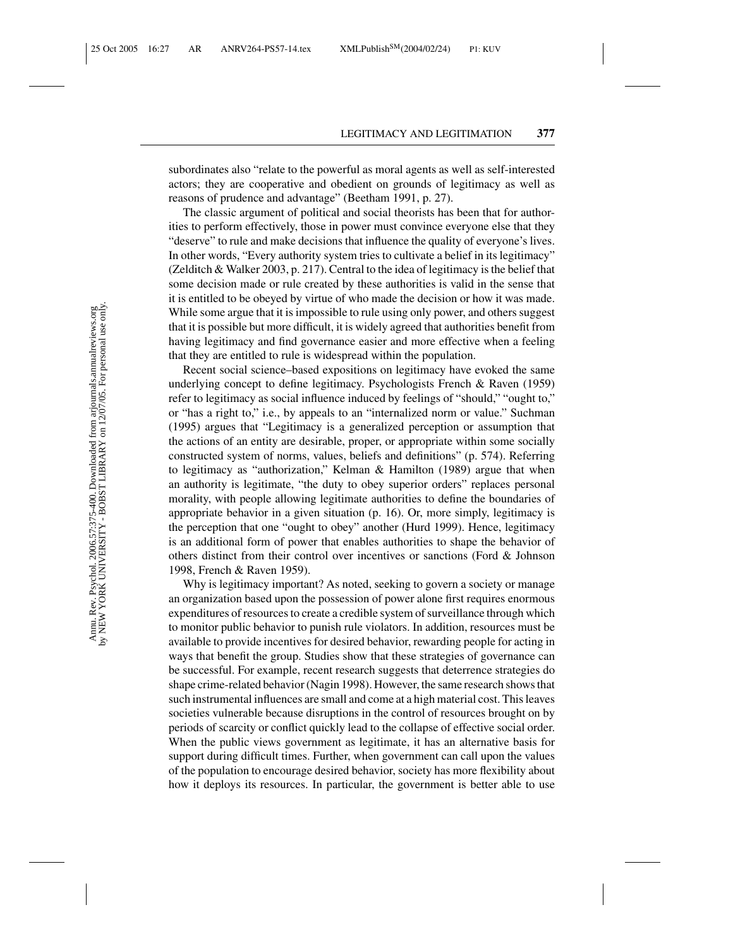subordinates also "relate to the powerful as moral agents as well as self-interested actors; they are cooperative and obedient on grounds of legitimacy as well as reasons of prudence and advantage" (Beetham 1991, p. 27).

The classic argument of political and social theorists has been that for authorities to perform effectively, those in power must convince everyone else that they "deserve" to rule and make decisions that influence the quality of everyone's lives. In other words, "Every authority system tries to cultivate a belief in its legitimacy" (Zelditch & Walker 2003, p. 217). Central to the idea of legitimacy is the belief that some decision made or rule created by these authorities is valid in the sense that it is entitled to be obeyed by virtue of who made the decision or how it was made. While some argue that it is impossible to rule using only power, and others suggest that it is possible but more difficult, it is widely agreed that authorities benefit from having legitimacy and find governance easier and more effective when a feeling that they are entitled to rule is widespread within the population.

Recent social science–based expositions on legitimacy have evoked the same underlying concept to define legitimacy. Psychologists French & Raven (1959) refer to legitimacy as social influence induced by feelings of "should," "ought to," or "has a right to," i.e., by appeals to an "internalized norm or value." Suchman (1995) argues that "Legitimacy is a generalized perception or assumption that the actions of an entity are desirable, proper, or appropriate within some socially constructed system of norms, values, beliefs and definitions" (p. 574). Referring to legitimacy as "authorization," Kelman  $&$  Hamilton (1989) argue that when an authority is legitimate, "the duty to obey superior orders" replaces personal morality, with people allowing legitimate authorities to define the boundaries of appropriate behavior in a given situation (p. 16). Or, more simply, legitimacy is the perception that one "ought to obey" another (Hurd 1999). Hence, legitimacy is an additional form of power that enables authorities to shape the behavior of others distinct from their control over incentives or sanctions (Ford & Johnson 1998, French & Raven 1959).

Why is legitimacy important? As noted, seeking to govern a society or manage an organization based upon the possession of power alone first requires enormous expenditures of resources to create a credible system of surveillance through which to monitor public behavior to punish rule violators. In addition, resources must be available to provide incentives for desired behavior, rewarding people for acting in ways that benefit the group. Studies show that these strategies of governance can be successful. For example, recent research suggests that deterrence strategies do shape crime-related behavior (Nagin 1998). However, the same research shows that such instrumental influences are small and come at a high material cost. This leaves societies vulnerable because disruptions in the control of resources brought on by periods of scarcity or conflict quickly lead to the collapse of effective social order. When the public views government as legitimate, it has an alternative basis for support during difficult times. Further, when government can call upon the values of the population to encourage desired behavior, society has more flexibility about how it deploys its resources. In particular, the government is better able to use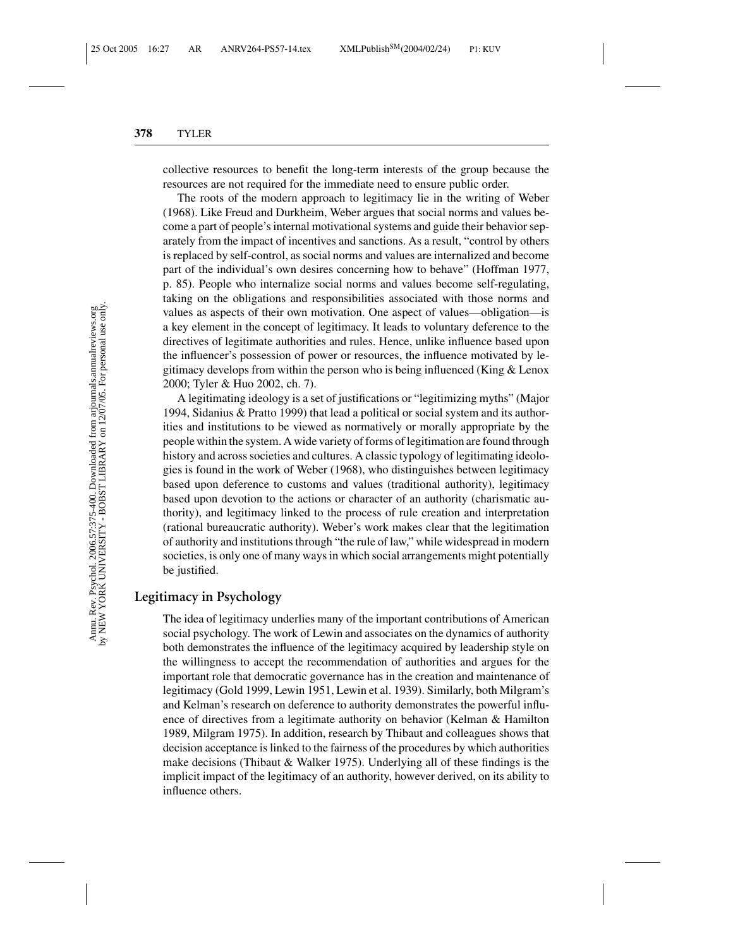collective resources to benefit the long-term interests of the group because the resources are not required for the immediate need to ensure public order.

The roots of the modern approach to legitimacy lie in the writing of Weber (1968). Like Freud and Durkheim, Weber argues that social norms and values become a part of people's internal motivational systems and guide their behavior separately from the impact of incentives and sanctions. As a result, "control by others is replaced by self-control, as social norms and values are internalized and become part of the individual's own desires concerning how to behave" (Hoffman 1977, p. 85). People who internalize social norms and values become self-regulating, taking on the obligations and responsibilities associated with those norms and values as aspects of their own motivation. One aspect of values—obligation—is a key element in the concept of legitimacy. It leads to voluntary deference to the directives of legitimate authorities and rules. Hence, unlike influence based upon the influencer's possession of power or resources, the influence motivated by legitimacy develops from within the person who is being influenced (King  $&$  Lenox 2000; Tyler & Huo 2002, ch. 7).

A legitimating ideology is a set of justifications or "legitimizing myths" (Major 1994, Sidanius & Pratto 1999) that lead a political or social system and its authorities and institutions to be viewed as normatively or morally appropriate by the people within the system. A wide variety of forms of legitimation are found through history and across societies and cultures. A classic typology of legitimating ideologies is found in the work of Weber (1968), who distinguishes between legitimacy based upon deference to customs and values (traditional authority), legitimacy based upon devotion to the actions or character of an authority (charismatic authority), and legitimacy linked to the process of rule creation and interpretation (rational bureaucratic authority). Weber's work makes clear that the legitimation of authority and institutions through "the rule of law," while widespread in modern societies, is only one of many ways in which social arrangements might potentially be justified.

### **Legitimacy in Psychology**

The idea of legitimacy underlies many of the important contributions of American social psychology. The work of Lewin and associates on the dynamics of authority both demonstrates the influence of the legitimacy acquired by leadership style on the willingness to accept the recommendation of authorities and argues for the important role that democratic governance has in the creation and maintenance of legitimacy (Gold 1999, Lewin 1951, Lewin et al. 1939). Similarly, both Milgram's and Kelman's research on deference to authority demonstrates the powerful influence of directives from a legitimate authority on behavior (Kelman & Hamilton 1989, Milgram 1975). In addition, research by Thibaut and colleagues shows that decision acceptance is linked to the fairness of the procedures by which authorities make decisions (Thibaut & Walker 1975). Underlying all of these findings is the implicit impact of the legitimacy of an authority, however derived, on its ability to influence others.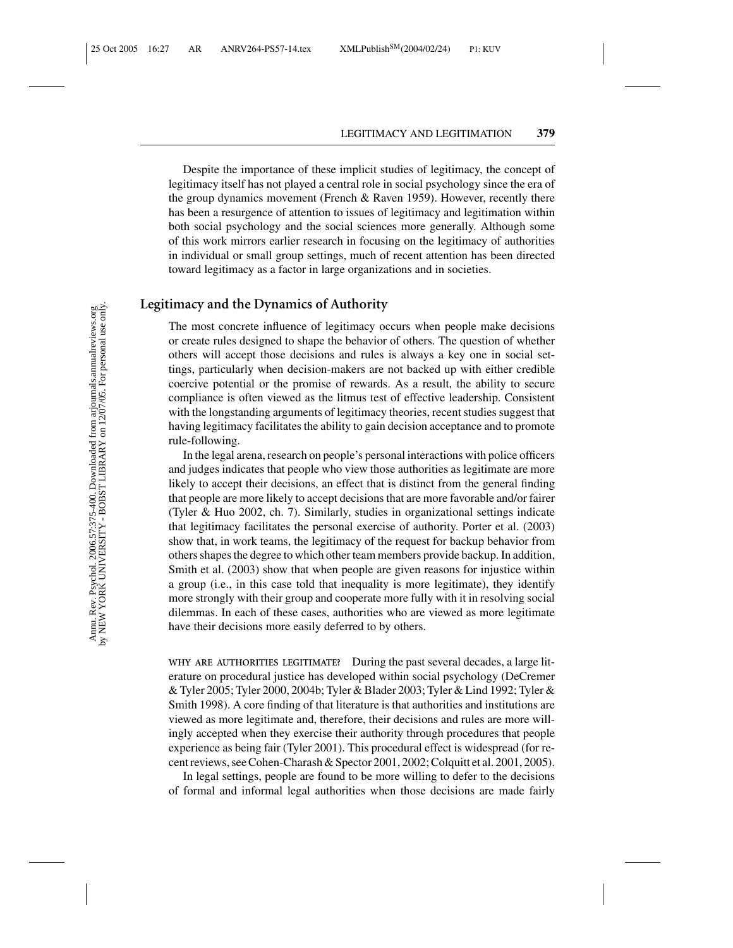Despite the importance of these implicit studies of legitimacy, the concept of legitimacy itself has not played a central role in social psychology since the era of the group dynamics movement (French & Raven 1959). However, recently there has been a resurgence of attention to issues of legitimacy and legitimation within both social psychology and the social sciences more generally. Although some of this work mirrors earlier research in focusing on the legitimacy of authorities in individual or small group settings, much of recent attention has been directed toward legitimacy as a factor in large organizations and in societies.

# **Legitimacy and the Dynamics of Authority**

The most concrete influence of legitimacy occurs when people make decisions or create rules designed to shape the behavior of others. The question of whether others will accept those decisions and rules is always a key one in social settings, particularly when decision-makers are not backed up with either credible coercive potential or the promise of rewards. As a result, the ability to secure compliance is often viewed as the litmus test of effective leadership. Consistent with the longstanding arguments of legitimacy theories, recent studies suggest that having legitimacy facilitates the ability to gain decision acceptance and to promote rule-following.

In the legal arena, research on people's personal interactions with police officers and judges indicates that people who view those authorities as legitimate are more likely to accept their decisions, an effect that is distinct from the general finding that people are more likely to accept decisions that are more favorable and/or fairer (Tyler & Huo 2002, ch. 7). Similarly, studies in organizational settings indicate that legitimacy facilitates the personal exercise of authority. Porter et al. (2003) show that, in work teams, the legitimacy of the request for backup behavior from others shapes the degree to which other team members provide backup. In addition, Smith et al. (2003) show that when people are given reasons for injustice within a group (i.e., in this case told that inequality is more legitimate), they identify more strongly with their group and cooperate more fully with it in resolving social dilemmas. In each of these cases, authorities who are viewed as more legitimate have their decisions more easily deferred to by others.

**WHY ARE AUTHORITIES LEGITIMATE?** During the past several decades, a large literature on procedural justice has developed within social psychology (DeCremer & Tyler 2005; Tyler 2000, 2004b; Tyler & Blader 2003; Tyler & Lind 1992; Tyler & Smith 1998). A core finding of that literature is that authorities and institutions are viewed as more legitimate and, therefore, their decisions and rules are more willingly accepted when they exercise their authority through procedures that people experience as being fair (Tyler 2001). This procedural effect is widespread (for recent reviews, see Cohen-Charash & Spector 2001, 2002; Colquitt et al. 2001, 2005).

In legal settings, people are found to be more willing to defer to the decisions of formal and informal legal authorities when those decisions are made fairly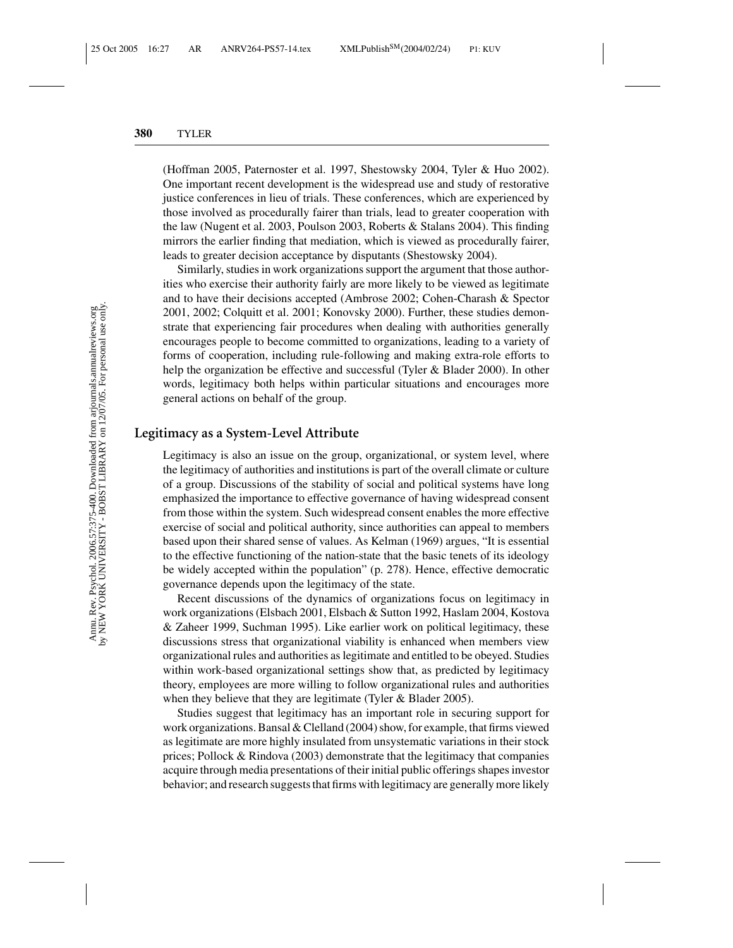(Hoffman 2005, Paternoster et al. 1997, Shestowsky 2004, Tyler & Huo 2002). One important recent development is the widespread use and study of restorative justice conferences in lieu of trials. These conferences, which are experienced by those involved as procedurally fairer than trials, lead to greater cooperation with the law (Nugent et al. 2003, Poulson 2003, Roberts & Stalans 2004). This finding mirrors the earlier finding that mediation, which is viewed as procedurally fairer, leads to greater decision acceptance by disputants (Shestowsky 2004).

Similarly, studies in work organizations support the argument that those authorities who exercise their authority fairly are more likely to be viewed as legitimate and to have their decisions accepted (Ambrose 2002; Cohen-Charash & Spector 2001, 2002; Colquitt et al. 2001; Konovsky 2000). Further, these studies demonstrate that experiencing fair procedures when dealing with authorities generally encourages people to become committed to organizations, leading to a variety of forms of cooperation, including rule-following and making extra-role efforts to help the organization be effective and successful (Tyler & Blader 2000). In other words, legitimacy both helps within particular situations and encourages more general actions on behalf of the group.

#### **Legitimacy as a System-Level Attribute**

Legitimacy is also an issue on the group, organizational, or system level, where the legitimacy of authorities and institutions is part of the overall climate or culture of a group. Discussions of the stability of social and political systems have long emphasized the importance to effective governance of having widespread consent from those within the system. Such widespread consent enables the more effective exercise of social and political authority, since authorities can appeal to members based upon their shared sense of values. As Kelman (1969) argues, "It is essential to the effective functioning of the nation-state that the basic tenets of its ideology be widely accepted within the population" (p. 278). Hence, effective democratic governance depends upon the legitimacy of the state.

Recent discussions of the dynamics of organizations focus on legitimacy in work organizations (Elsbach 2001, Elsbach & Sutton 1992, Haslam 2004, Kostova & Zaheer 1999, Suchman 1995). Like earlier work on political legitimacy, these discussions stress that organizational viability is enhanced when members view organizational rules and authorities as legitimate and entitled to be obeyed. Studies within work-based organizational settings show that, as predicted by legitimacy theory, employees are more willing to follow organizational rules and authorities when they believe that they are legitimate (Tyler & Blader 2005).

Studies suggest that legitimacy has an important role in securing support for work organizations. Bansal & Clelland (2004) show, for example, that firms viewed as legitimate are more highly insulated from unsystematic variations in their stock prices; Pollock & Rindova (2003) demonstrate that the legitimacy that companies acquire through media presentations of their initial public offerings shapes investor behavior; and research suggests that firms with legitimacy are generally more likely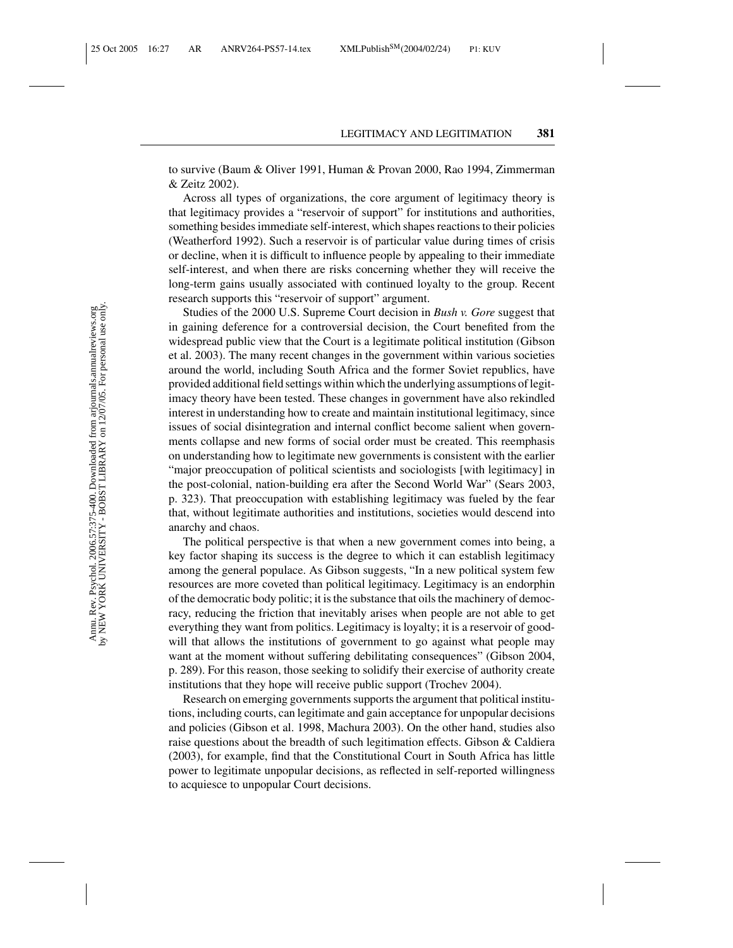to survive (Baum & Oliver 1991, Human & Provan 2000, Rao 1994, Zimmerman & Zeitz 2002).

Across all types of organizations, the core argument of legitimacy theory is that legitimacy provides a "reservoir of support" for institutions and authorities, something besides immediate self-interest, which shapes reactions to their policies (Weatherford 1992). Such a reservoir is of particular value during times of crisis or decline, when it is difficult to influence people by appealing to their immediate self-interest, and when there are risks concerning whether they will receive the long-term gains usually associated with continued loyalty to the group. Recent research supports this "reservoir of support" argument.

Studies of the 2000 U.S. Supreme Court decision in *Bush v. Gore* suggest that in gaining deference for a controversial decision, the Court benefited from the widespread public view that the Court is a legitimate political institution (Gibson et al. 2003). The many recent changes in the government within various societies around the world, including South Africa and the former Soviet republics, have provided additional field settings within which the underlying assumptions of legitimacy theory have been tested. These changes in government have also rekindled interest in understanding how to create and maintain institutional legitimacy, since issues of social disintegration and internal conflict become salient when governments collapse and new forms of social order must be created. This reemphasis on understanding how to legitimate new governments is consistent with the earlier "major preoccupation of political scientists and sociologists [with legitimacy] in the post-colonial, nation-building era after the Second World War" (Sears 2003, p. 323). That preoccupation with establishing legitimacy was fueled by the fear that, without legitimate authorities and institutions, societies would descend into anarchy and chaos.

The political perspective is that when a new government comes into being, a key factor shaping its success is the degree to which it can establish legitimacy among the general populace. As Gibson suggests, "In a new political system few resources are more coveted than political legitimacy. Legitimacy is an endorphin of the democratic body politic; it is the substance that oils the machinery of democracy, reducing the friction that inevitably arises when people are not able to get everything they want from politics. Legitimacy is loyalty; it is a reservoir of goodwill that allows the institutions of government to go against what people may want at the moment without suffering debilitating consequences" (Gibson 2004, p. 289). For this reason, those seeking to solidify their exercise of authority create institutions that they hope will receive public support (Trochev 2004).

Research on emerging governments supports the argument that political institutions, including courts, can legitimate and gain acceptance for unpopular decisions and policies (Gibson et al. 1998, Machura 2003). On the other hand, studies also raise questions about the breadth of such legitimation effects. Gibson & Caldiera (2003), for example, find that the Constitutional Court in South Africa has little power to legitimate unpopular decisions, as reflected in self-reported willingness to acquiesce to unpopular Court decisions.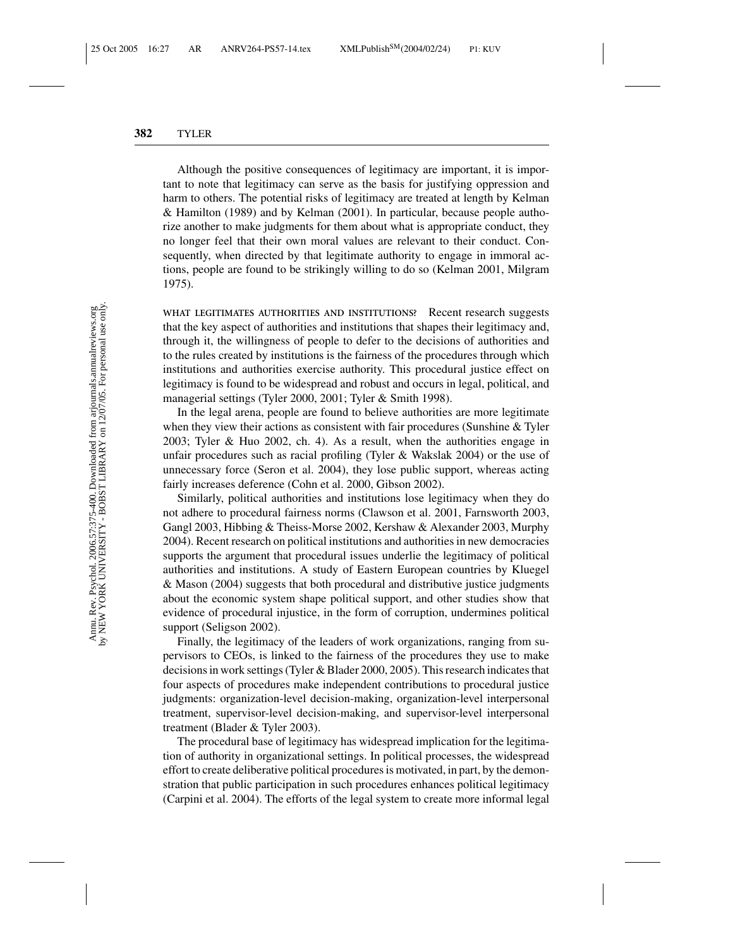Although the positive consequences of legitimacy are important, it is important to note that legitimacy can serve as the basis for justifying oppression and harm to others. The potential risks of legitimacy are treated at length by Kelman & Hamilton (1989) and by Kelman (2001). In particular, because people authorize another to make judgments for them about what is appropriate conduct, they no longer feel that their own moral values are relevant to their conduct. Consequently, when directed by that legitimate authority to engage in immoral actions, people are found to be strikingly willing to do so (Kelman 2001, Milgram 1975).

**WHAT LEGITIMATES AUTHORITIES AND INSTITUTIONS?** Recent research suggests that the key aspect of authorities and institutions that shapes their legitimacy and, through it, the willingness of people to defer to the decisions of authorities and to the rules created by institutions is the fairness of the procedures through which institutions and authorities exercise authority. This procedural justice effect on legitimacy is found to be widespread and robust and occurs in legal, political, and managerial settings (Tyler 2000, 2001; Tyler & Smith 1998).

In the legal arena, people are found to believe authorities are more legitimate when they view their actions as consistent with fair procedures (Sunshine & Tyler 2003; Tyler & Huo 2002, ch. 4). As a result, when the authorities engage in unfair procedures such as racial profiling (Tyler & Wakslak 2004) or the use of unnecessary force (Seron et al. 2004), they lose public support, whereas acting fairly increases deference (Cohn et al. 2000, Gibson 2002).

Similarly, political authorities and institutions lose legitimacy when they do not adhere to procedural fairness norms (Clawson et al. 2001, Farnsworth 2003, Gangl 2003, Hibbing & Theiss-Morse 2002, Kershaw & Alexander 2003, Murphy 2004). Recent research on political institutions and authorities in new democracies supports the argument that procedural issues underlie the legitimacy of political authorities and institutions. A study of Eastern European countries by Kluegel & Mason (2004) suggests that both procedural and distributive justice judgments about the economic system shape political support, and other studies show that evidence of procedural injustice, in the form of corruption, undermines political support (Seligson 2002).

Finally, the legitimacy of the leaders of work organizations, ranging from supervisors to CEOs, is linked to the fairness of the procedures they use to make decisions in work settings (Tyler & Blader 2000, 2005). This research indicates that four aspects of procedures make independent contributions to procedural justice judgments: organization-level decision-making, organization-level interpersonal treatment, supervisor-level decision-making, and supervisor-level interpersonal treatment (Blader & Tyler 2003).

The procedural base of legitimacy has widespread implication for the legitimation of authority in organizational settings. In political processes, the widespread effort to create deliberative political procedures is motivated, in part, by the demonstration that public participation in such procedures enhances political legitimacy (Carpini et al. 2004). The efforts of the legal system to create more informal legal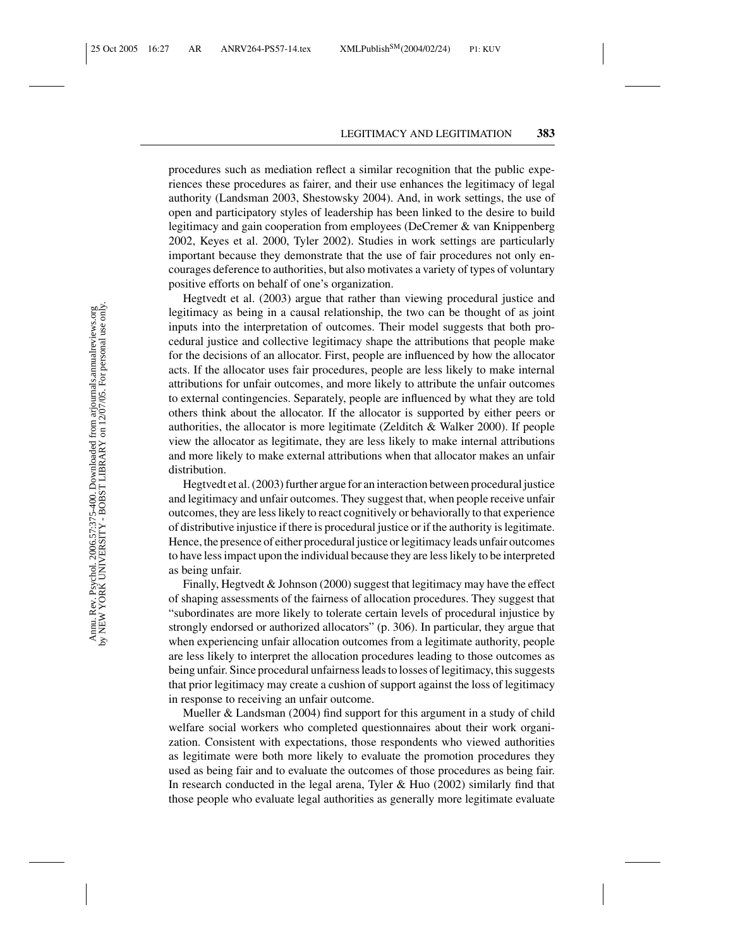procedures such as mediation reflect a similar recognition that the public experiences these procedures as fairer, and their use enhances the legitimacy of legal authority (Landsman 2003, Shestowsky 2004). And, in work settings, the use of open and participatory styles of leadership has been linked to the desire to build legitimacy and gain cooperation from employees (DeCremer & van Knippenberg 2002, Keyes et al. 2000, Tyler 2002). Studies in work settings are particularly important because they demonstrate that the use of fair procedures not only encourages deference to authorities, but also motivates a variety of types of voluntary positive efforts on behalf of one's organization.

Hegtvedt et al. (2003) argue that rather than viewing procedural justice and legitimacy as being in a causal relationship, the two can be thought of as joint inputs into the interpretation of outcomes. Their model suggests that both procedural justice and collective legitimacy shape the attributions that people make for the decisions of an allocator. First, people are influenced by how the allocator acts. If the allocator uses fair procedures, people are less likely to make internal attributions for unfair outcomes, and more likely to attribute the unfair outcomes to external contingencies. Separately, people are influenced by what they are told others think about the allocator. If the allocator is supported by either peers or authorities, the allocator is more legitimate (Zelditch & Walker 2000). If people view the allocator as legitimate, they are less likely to make internal attributions and more likely to make external attributions when that allocator makes an unfair distribution.

Hegtvedt et al. (2003) further argue for an interaction between procedural justice and legitimacy and unfair outcomes. They suggest that, when people receive unfair outcomes, they are less likely to react cognitively or behaviorally to that experience of distributive injustice if there is procedural justice or if the authority is legitimate. Hence, the presence of either procedural justice or legitimacy leads unfair outcomes to have less impact upon the individual because they are less likely to be interpreted as being unfair.

Finally, Hegtvedt  $& Johnson(2000)$  suggest that legitimacy may have the effect of shaping assessments of the fairness of allocation procedures. They suggest that "subordinates are more likely to tolerate certain levels of procedural injustice by strongly endorsed or authorized allocators" (p. 306). In particular, they argue that when experiencing unfair allocation outcomes from a legitimate authority, people are less likely to interpret the allocation procedures leading to those outcomes as being unfair. Since procedural unfairness leads to losses of legitimacy, this suggests that prior legitimacy may create a cushion of support against the loss of legitimacy in response to receiving an unfair outcome.

Mueller & Landsman (2004) find support for this argument in a study of child welfare social workers who completed questionnaires about their work organization. Consistent with expectations, those respondents who viewed authorities as legitimate were both more likely to evaluate the promotion procedures they used as being fair and to evaluate the outcomes of those procedures as being fair. In research conducted in the legal arena, Tyler & Huo (2002) similarly find that those people who evaluate legal authorities as generally more legitimate evaluate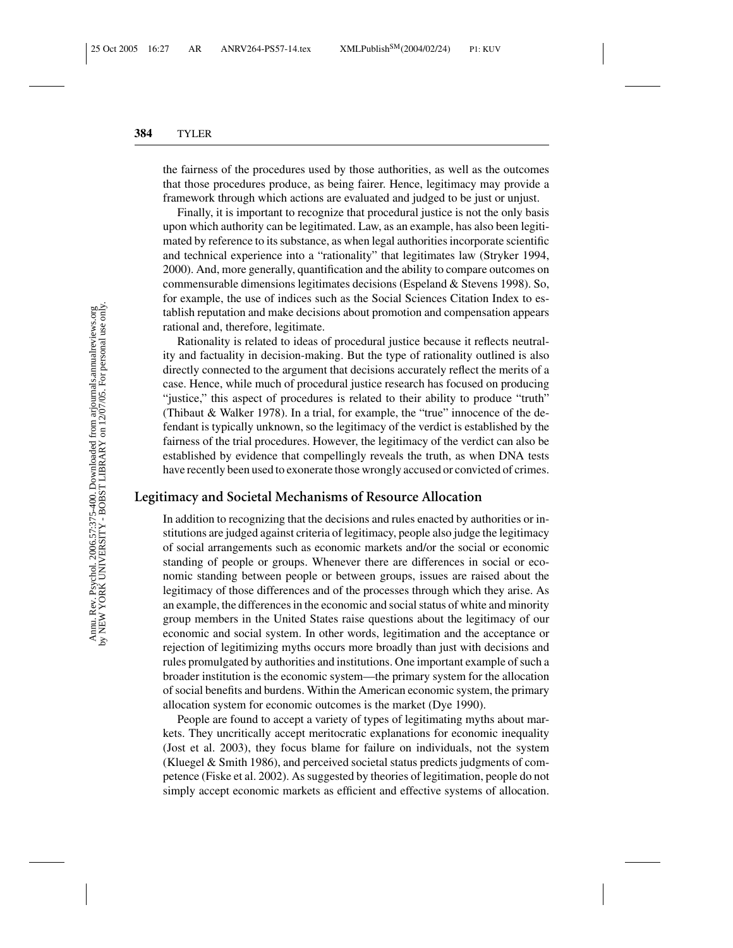the fairness of the procedures used by those authorities, as well as the outcomes that those procedures produce, as being fairer. Hence, legitimacy may provide a framework through which actions are evaluated and judged to be just or unjust.

Finally, it is important to recognize that procedural justice is not the only basis upon which authority can be legitimated. Law, as an example, has also been legitimated by reference to its substance, as when legal authorities incorporate scientific and technical experience into a "rationality" that legitimates law (Stryker 1994, 2000). And, more generally, quantification and the ability to compare outcomes on commensurable dimensions legitimates decisions (Espeland & Stevens 1998). So, for example, the use of indices such as the Social Sciences Citation Index to establish reputation and make decisions about promotion and compensation appears rational and, therefore, legitimate.

Rationality is related to ideas of procedural justice because it reflects neutrality and factuality in decision-making. But the type of rationality outlined is also directly connected to the argument that decisions accurately reflect the merits of a case. Hence, while much of procedural justice research has focused on producing "justice," this aspect of procedures is related to their ability to produce "truth" (Thibaut & Walker 1978). In a trial, for example, the "true" innocence of the defendant is typically unknown, so the legitimacy of the verdict is established by the fairness of the trial procedures. However, the legitimacy of the verdict can also be established by evidence that compellingly reveals the truth, as when DNA tests have recently been used to exonerate those wrongly accused or convicted of crimes.

### **Legitimacy and Societal Mechanisms of Resource Allocation**

In addition to recognizing that the decisions and rules enacted by authorities or institutions are judged against criteria of legitimacy, people also judge the legitimacy of social arrangements such as economic markets and/or the social or economic standing of people or groups. Whenever there are differences in social or economic standing between people or between groups, issues are raised about the legitimacy of those differences and of the processes through which they arise. As an example, the differences in the economic and social status of white and minority group members in the United States raise questions about the legitimacy of our economic and social system. In other words, legitimation and the acceptance or rejection of legitimizing myths occurs more broadly than just with decisions and rules promulgated by authorities and institutions. One important example of such a broader institution is the economic system—the primary system for the allocation of social benefits and burdens. Within the American economic system, the primary allocation system for economic outcomes is the market (Dye 1990).

People are found to accept a variety of types of legitimating myths about markets. They uncritically accept meritocratic explanations for economic inequality (Jost et al. 2003), they focus blame for failure on individuals, not the system (Kluegel & Smith 1986), and perceived societal status predicts judgments of competence (Fiske et al. 2002). As suggested by theories of legitimation, people do not simply accept economic markets as efficient and effective systems of allocation.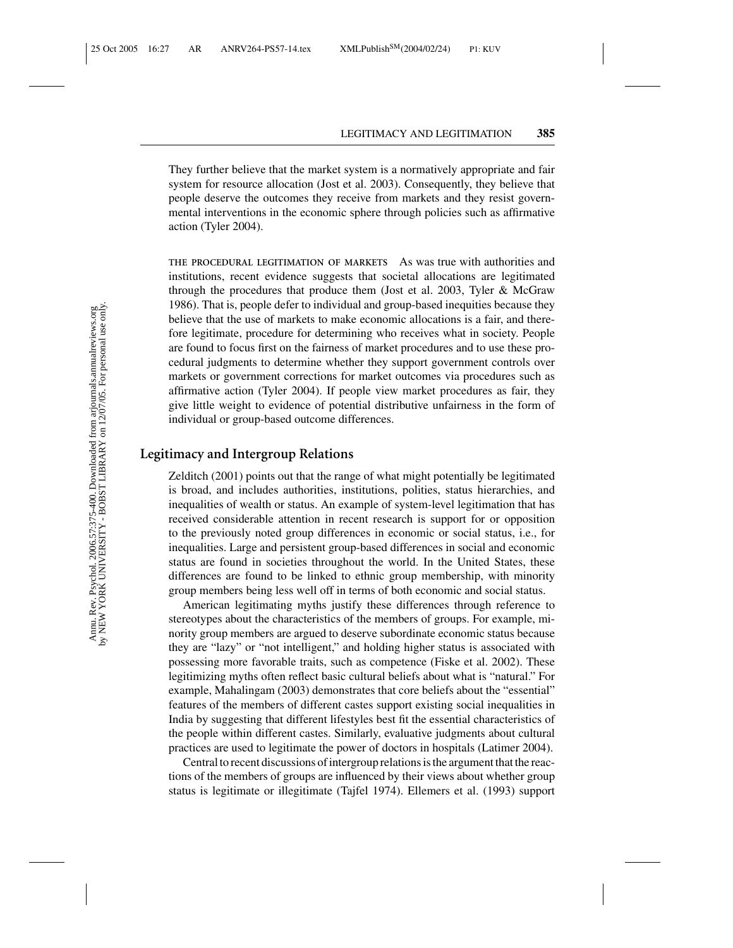They further believe that the market system is a normatively appropriate and fair system for resource allocation (Jost et al. 2003). Consequently, they believe that people deserve the outcomes they receive from markets and they resist governmental interventions in the economic sphere through policies such as affirmative action (Tyler 2004).

**THE PROCEDURAL LEGITIMATION OF MARKETS** As was true with authorities and institutions, recent evidence suggests that societal allocations are legitimated through the procedures that produce them (Jost et al. 2003, Tyler & McGraw 1986). That is, people defer to individual and group-based inequities because they believe that the use of markets to make economic allocations is a fair, and therefore legitimate, procedure for determining who receives what in society. People are found to focus first on the fairness of market procedures and to use these procedural judgments to determine whether they support government controls over markets or government corrections for market outcomes via procedures such as affirmative action (Tyler 2004). If people view market procedures as fair, they give little weight to evidence of potential distributive unfairness in the form of individual or group-based outcome differences.

### **Legitimacy and Intergroup Relations**

Zelditch (2001) points out that the range of what might potentially be legitimated is broad, and includes authorities, institutions, polities, status hierarchies, and inequalities of wealth or status. An example of system-level legitimation that has received considerable attention in recent research is support for or opposition to the previously noted group differences in economic or social status, i.e., for inequalities. Large and persistent group-based differences in social and economic status are found in societies throughout the world. In the United States, these differences are found to be linked to ethnic group membership, with minority group members being less well off in terms of both economic and social status.

American legitimating myths justify these differences through reference to stereotypes about the characteristics of the members of groups. For example, minority group members are argued to deserve subordinate economic status because they are "lazy" or "not intelligent," and holding higher status is associated with possessing more favorable traits, such as competence (Fiske et al. 2002). These legitimizing myths often reflect basic cultural beliefs about what is "natural." For example, Mahalingam (2003) demonstrates that core beliefs about the "essential" features of the members of different castes support existing social inequalities in India by suggesting that different lifestyles best fit the essential characteristics of the people within different castes. Similarly, evaluative judgments about cultural practices are used to legitimate the power of doctors in hospitals (Latimer 2004).

Central to recent discussions of intergroup relations is the argument that the reactions of the members of groups are influenced by their views about whether group status is legitimate or illegitimate (Tajfel 1974). Ellemers et al. (1993) support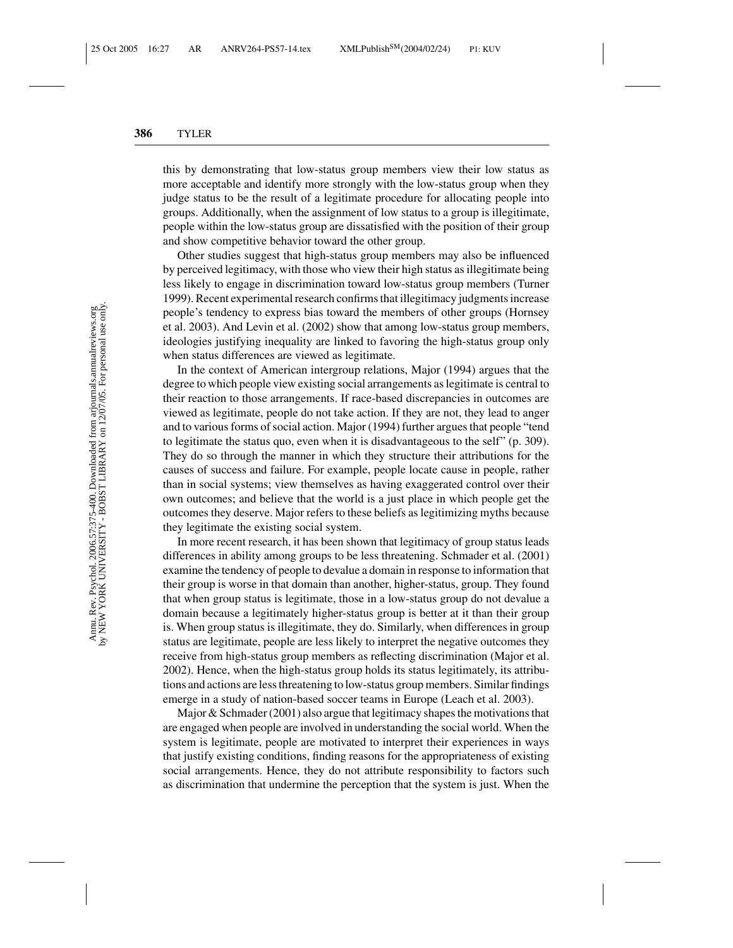this by demonstrating that low-status group members view their low status as more acceptable and identify more strongly with the low-status group when they judge status to be the result of a legitimate procedure for allocating people into groups. Additionally, when the assignment of low status to a group is illegitimate, people within the low-status group are dissatisfied with the position of their group and show competitive behavior toward the other group.

Other studies suggest that high-status group members may also be influenced by perceived legitimacy, with those who view their high status as illegitimate being less likely to engage in discrimination toward low-status group members (Turner 1999). Recent experimental research confirms that illegitimacy judgments increase people's tendency to express bias toward the members of other groups (Hornsey et al. 2003). And Levin et al. (2002) show that among low-status group members, ideologies justifying inequality are linked to favoring the high-status group only when status differences are viewed as legitimate.

In the context of American intergroup relations, Major (1994) argues that the degree to which people view existing social arrangements as legitimate is central to their reaction to those arrangements. If race-based discrepancies in outcomes are viewed as legitimate, people do not take action. If they are not, they lead to anger and to various forms of social action. Major (1994) further argues that people "tend to legitimate the status quo, even when it is disadvantageous to the self" (p. 309). They do so through the manner in which they structure their attributions for the causes of success and failure. For example, people locate cause in people, rather than in social systems; view themselves as having exaggerated control over their own outcomes; and believe that the world is a just place in which people get the outcomes they deserve. Major refers to these beliefs as legitimizing myths because they legitimate the existing social system.

In more recent research, it has been shown that legitimacy of group status leads differences in ability among groups to be less threatening. Schmader et al. (2001) examine the tendency of people to devalue a domain in response to information that their group is worse in that domain than another, higher-status, group. They found that when group status is legitimate, those in a low-status group do not devalue a domain because a legitimately higher-status group is better at it than their group is. When group status is illegitimate, they do. Similarly, when differences in group status are legitimate, people are less likely to interpret the negative outcomes they receive from high-status group members as reflecting discrimination (Major et al. 2002). Hence, when the high-status group holds its status legitimately, its attributions and actions are less threatening to low-status group members. Similar findings emerge in a study of nation-based soccer teams in Europe (Leach et al. 2003).

Major & Schmader (2001) also argue that legitimacy shapes the motivations that are engaged when people are involved in understanding the social world. When the system is legitimate, people are motivated to interpret their experiences in ways that justify existing conditions, finding reasons for the appropriateness of existing social arrangements. Hence, they do not attribute responsibility to factors such as discrimination that undermine the perception that the system is just. When the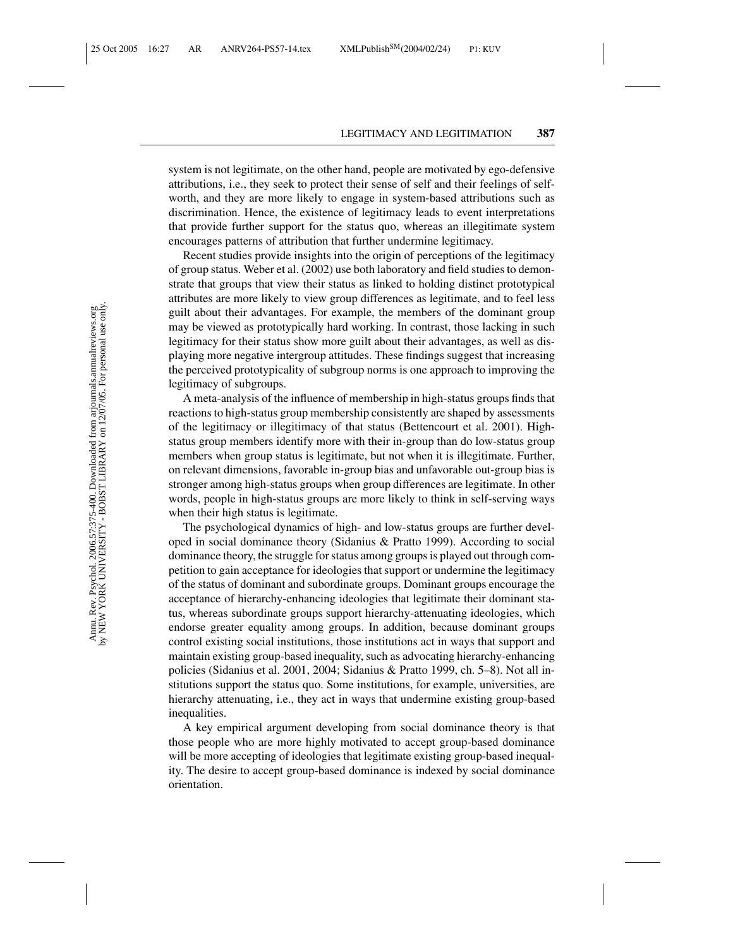system is not legitimate, on the other hand, people are motivated by ego-defensive attributions, i.e., they seek to protect their sense of self and their feelings of selfworth, and they are more likely to engage in system-based attributions such as discrimination. Hence, the existence of legitimacy leads to event interpretations that provide further support for the status quo, whereas an illegitimate system encourages patterns of attribution that further undermine legitimacy.

Recent studies provide insights into the origin of perceptions of the legitimacy of group status. Weber et al. (2002) use both laboratory and field studies to demonstrate that groups that view their status as linked to holding distinct prototypical attributes are more likely to view group differences as legitimate, and to feel less guilt about their advantages. For example, the members of the dominant group may be viewed as prototypically hard working. In contrast, those lacking in such legitimacy for their status show more guilt about their advantages, as well as displaying more negative intergroup attitudes. These findings suggest that increasing the perceived prototypicality of subgroup norms is one approach to improving the legitimacy of subgroups.

A meta-analysis of the influence of membership in high-status groups finds that reactions to high-status group membership consistently are shaped by assessments of the legitimacy or illegitimacy of that status (Bettencourt et al. 2001). Highstatus group members identify more with their in-group than do low-status group members when group status is legitimate, but not when it is illegitimate. Further, on relevant dimensions, favorable in-group bias and unfavorable out-group bias is stronger among high-status groups when group differences are legitimate. In other words, people in high-status groups are more likely to think in self-serving ways when their high status is legitimate.

The psychological dynamics of high- and low-status groups are further developed in social dominance theory (Sidanius & Pratto 1999). According to social dominance theory, the struggle for status among groups is played out through competition to gain acceptance for ideologies that support or undermine the legitimacy of the status of dominant and subordinate groups. Dominant groups encourage the acceptance of hierarchy-enhancing ideologies that legitimate their dominant status, whereas subordinate groups support hierarchy-attenuating ideologies, which endorse greater equality among groups. In addition, because dominant groups control existing social institutions, those institutions act in ways that support and maintain existing group-based inequality, such as advocating hierarchy-enhancing policies (Sidanius et al. 2001, 2004; Sidanius & Pratto 1999, ch. 5–8). Not all institutions support the status quo. Some institutions, for example, universities, are hierarchy attenuating, i.e., they act in ways that undermine existing group-based inequalities.

A key empirical argument developing from social dominance theory is that those people who are more highly motivated to accept group-based dominance will be more accepting of ideologies that legitimate existing group-based inequality. The desire to accept group-based dominance is indexed by social dominance orientation.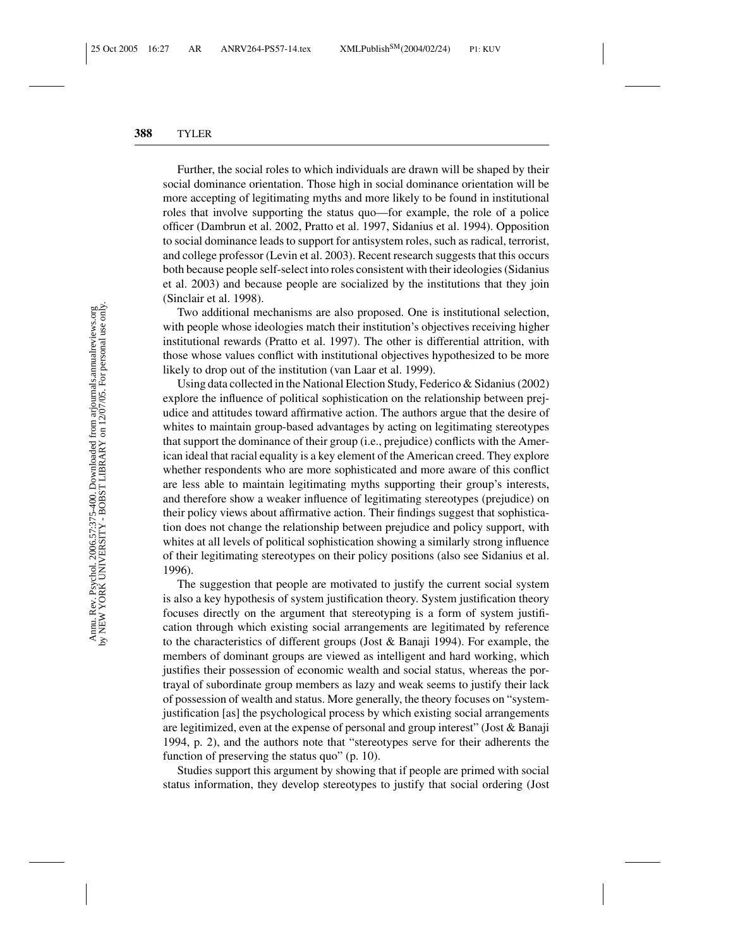Further, the social roles to which individuals are drawn will be shaped by their social dominance orientation. Those high in social dominance orientation will be more accepting of legitimating myths and more likely to be found in institutional roles that involve supporting the status quo—for example, the role of a police officer (Dambrun et al. 2002, Pratto et al. 1997, Sidanius et al. 1994). Opposition to social dominance leads to support for antisystem roles, such as radical, terrorist, and college professor (Levin et al. 2003). Recent research suggests that this occurs both because people self-select into roles consistent with their ideologies (Sidanius et al. 2003) and because people are socialized by the institutions that they join (Sinclair et al. 1998).

Two additional mechanisms are also proposed. One is institutional selection, with people whose ideologies match their institution's objectives receiving higher institutional rewards (Pratto et al. 1997). The other is differential attrition, with those whose values conflict with institutional objectives hypothesized to be more likely to drop out of the institution (van Laar et al. 1999).

Using data collected in the National Election Study, Federico & Sidanius (2002) explore the influence of political sophistication on the relationship between prejudice and attitudes toward affirmative action. The authors argue that the desire of whites to maintain group-based advantages by acting on legitimating stereotypes that support the dominance of their group (i.e., prejudice) conflicts with the American ideal that racial equality is a key element of the American creed. They explore whether respondents who are more sophisticated and more aware of this conflict are less able to maintain legitimating myths supporting their group's interests, and therefore show a weaker influence of legitimating stereotypes (prejudice) on their policy views about affirmative action. Their findings suggest that sophistication does not change the relationship between prejudice and policy support, with whites at all levels of political sophistication showing a similarly strong influence of their legitimating stereotypes on their policy positions (also see Sidanius et al. 1996).

The suggestion that people are motivated to justify the current social system is also a key hypothesis of system justification theory. System justification theory focuses directly on the argument that stereotyping is a form of system justification through which existing social arrangements are legitimated by reference to the characteristics of different groups (Jost & Banaji 1994). For example, the members of dominant groups are viewed as intelligent and hard working, which justifies their possession of economic wealth and social status, whereas the portrayal of subordinate group members as lazy and weak seems to justify their lack of possession of wealth and status. More generally, the theory focuses on "systemjustification [as] the psychological process by which existing social arrangements are legitimized, even at the expense of personal and group interest" (Jost & Banaji 1994, p. 2), and the authors note that "stereotypes serve for their adherents the function of preserving the status quo" (p. 10).

Studies support this argument by showing that if people are primed with social status information, they develop stereotypes to justify that social ordering (Jost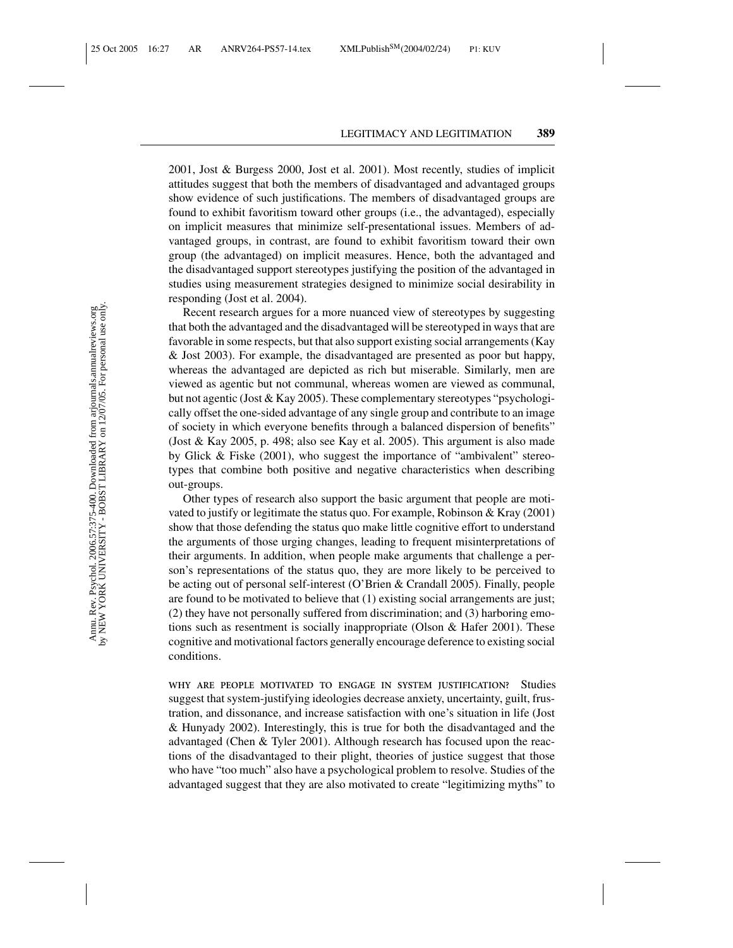2001, Jost & Burgess 2000, Jost et al. 2001). Most recently, studies of implicit attitudes suggest that both the members of disadvantaged and advantaged groups show evidence of such justifications. The members of disadvantaged groups are found to exhibit favoritism toward other groups (i.e., the advantaged), especially on implicit measures that minimize self-presentational issues. Members of advantaged groups, in contrast, are found to exhibit favoritism toward their own group (the advantaged) on implicit measures. Hence, both the advantaged and the disadvantaged support stereotypes justifying the position of the advantaged in studies using measurement strategies designed to minimize social desirability in responding (Jost et al. 2004).

Recent research argues for a more nuanced view of stereotypes by suggesting that both the advantaged and the disadvantaged will be stereotyped in ways that are favorable in some respects, but that also support existing social arrangements (Kay & Jost 2003). For example, the disadvantaged are presented as poor but happy, whereas the advantaged are depicted as rich but miserable. Similarly, men are viewed as agentic but not communal, whereas women are viewed as communal, but not agentic (Jost & Kay 2005). These complementary stereotypes "psychologically offset the one-sided advantage of any single group and contribute to an image of society in which everyone benefits through a balanced dispersion of benefits" (Jost & Kay 2005, p. 498; also see Kay et al. 2005). This argument is also made by Glick & Fiske (2001), who suggest the importance of "ambivalent" stereotypes that combine both positive and negative characteristics when describing out-groups.

Other types of research also support the basic argument that people are motivated to justify or legitimate the status quo. For example, Robinson & Kray (2001) show that those defending the status quo make little cognitive effort to understand the arguments of those urging changes, leading to frequent misinterpretations of their arguments. In addition, when people make arguments that challenge a person's representations of the status quo, they are more likely to be perceived to be acting out of personal self-interest (O'Brien & Crandall 2005). Finally, people are found to be motivated to believe that (1) existing social arrangements are just; (2) they have not personally suffered from discrimination; and (3) harboring emotions such as resentment is socially inappropriate (Olson  $\&$  Hafer 2001). These cognitive and motivational factors generally encourage deference to existing social conditions.

**WHY ARE PEOPLE MOTIVATED TO ENGAGE IN SYSTEM JUSTIFICATION?** Studies suggest that system-justifying ideologies decrease anxiety, uncertainty, guilt, frustration, and dissonance, and increase satisfaction with one's situation in life (Jost & Hunyady 2002). Interestingly, this is true for both the disadvantaged and the advantaged (Chen & Tyler 2001). Although research has focused upon the reactions of the disadvantaged to their plight, theories of justice suggest that those who have "too much" also have a psychological problem to resolve. Studies of the advantaged suggest that they are also motivated to create "legitimizing myths" to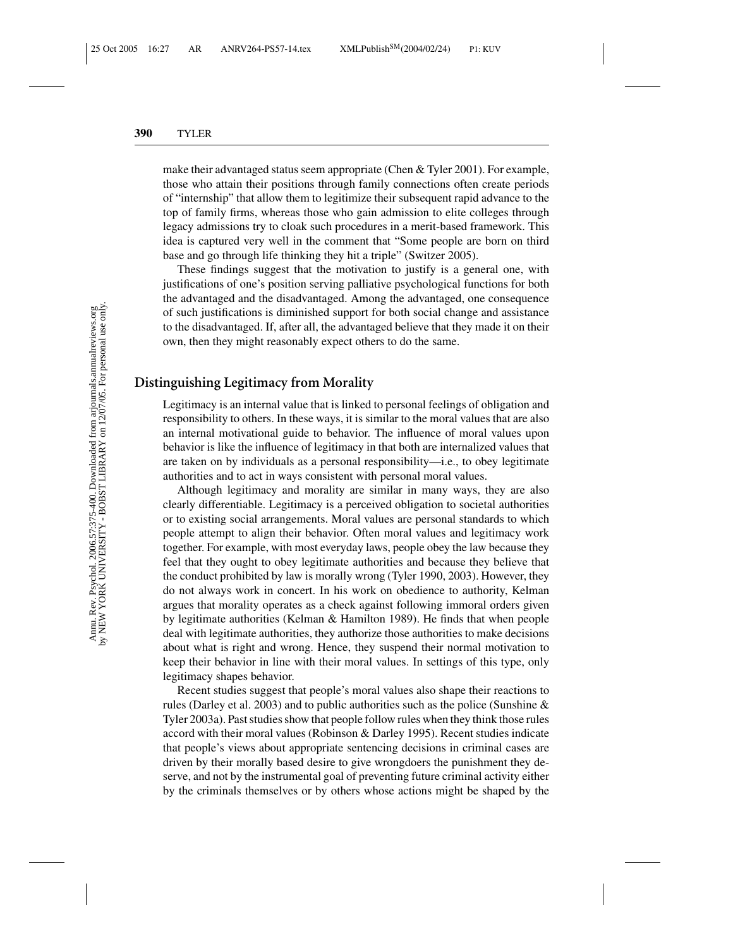make their advantaged status seem appropriate (Chen & Tyler 2001). For example, those who attain their positions through family connections often create periods of "internship" that allow them to legitimize their subsequent rapid advance to the top of family firms, whereas those who gain admission to elite colleges through legacy admissions try to cloak such procedures in a merit-based framework. This idea is captured very well in the comment that "Some people are born on third base and go through life thinking they hit a triple" (Switzer 2005).

These findings suggest that the motivation to justify is a general one, with justifications of one's position serving palliative psychological functions for both the advantaged and the disadvantaged. Among the advantaged, one consequence of such justifications is diminished support for both social change and assistance to the disadvantaged. If, after all, the advantaged believe that they made it on their own, then they might reasonably expect others to do the same.

## **Distinguishing Legitimacy from Morality**

Legitimacy is an internal value that is linked to personal feelings of obligation and responsibility to others. In these ways, it is similar to the moral values that are also an internal motivational guide to behavior. The influence of moral values upon behavior is like the influence of legitimacy in that both are internalized values that are taken on by individuals as a personal responsibility—i.e., to obey legitimate authorities and to act in ways consistent with personal moral values.

Although legitimacy and morality are similar in many ways, they are also clearly differentiable. Legitimacy is a perceived obligation to societal authorities or to existing social arrangements. Moral values are personal standards to which people attempt to align their behavior. Often moral values and legitimacy work together. For example, with most everyday laws, people obey the law because they feel that they ought to obey legitimate authorities and because they believe that the conduct prohibited by law is morally wrong (Tyler 1990, 2003). However, they do not always work in concert. In his work on obedience to authority, Kelman argues that morality operates as a check against following immoral orders given by legitimate authorities (Kelman & Hamilton 1989). He finds that when people deal with legitimate authorities, they authorize those authorities to make decisions about what is right and wrong. Hence, they suspend their normal motivation to keep their behavior in line with their moral values. In settings of this type, only legitimacy shapes behavior.

Recent studies suggest that people's moral values also shape their reactions to rules (Darley et al. 2003) and to public authorities such as the police (Sunshine  $\&$ Tyler 2003a). Past studies show that people follow rules when they think those rules accord with their moral values (Robinson & Darley 1995). Recent studies indicate that people's views about appropriate sentencing decisions in criminal cases are driven by their morally based desire to give wrongdoers the punishment they deserve, and not by the instrumental goal of preventing future criminal activity either by the criminals themselves or by others whose actions might be shaped by the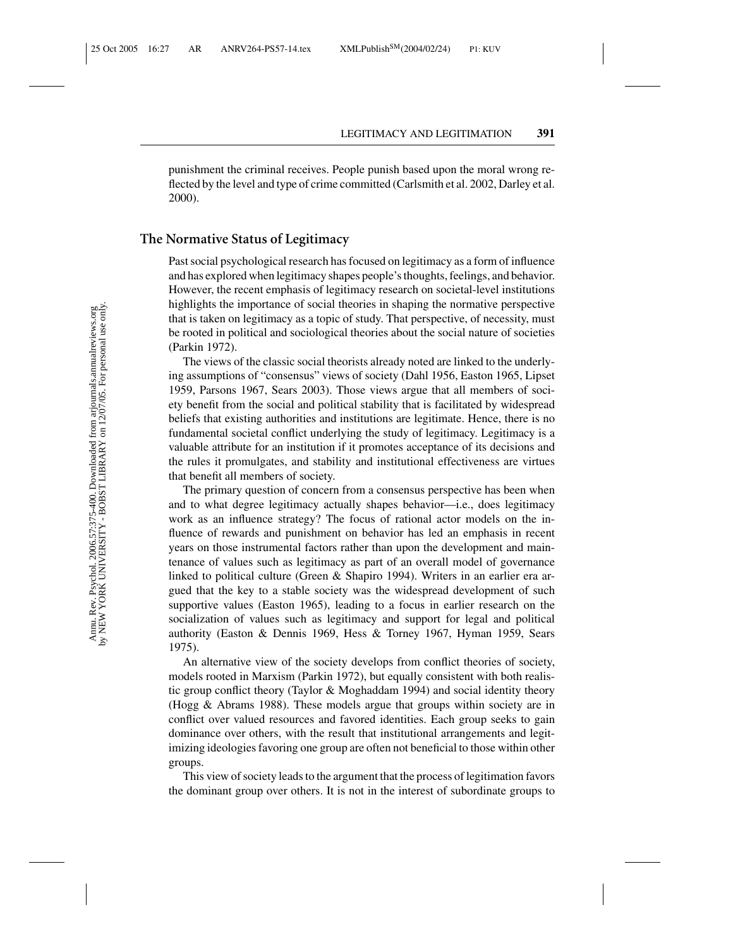punishment the criminal receives. People punish based upon the moral wrong reflected by the level and type of crime committed (Carlsmith et al. 2002, Darley et al. 2000).

## **The Normative Status of Legitimacy**

Past social psychological research has focused on legitimacy as a form of influence and has explored when legitimacy shapes people's thoughts, feelings, and behavior. However, the recent emphasis of legitimacy research on societal-level institutions highlights the importance of social theories in shaping the normative perspective that is taken on legitimacy as a topic of study. That perspective, of necessity, must be rooted in political and sociological theories about the social nature of societies (Parkin 1972).

The views of the classic social theorists already noted are linked to the underlying assumptions of "consensus" views of society (Dahl 1956, Easton 1965, Lipset 1959, Parsons 1967, Sears 2003). Those views argue that all members of society benefit from the social and political stability that is facilitated by widespread beliefs that existing authorities and institutions are legitimate. Hence, there is no fundamental societal conflict underlying the study of legitimacy. Legitimacy is a valuable attribute for an institution if it promotes acceptance of its decisions and the rules it promulgates, and stability and institutional effectiveness are virtues that benefit all members of society.

The primary question of concern from a consensus perspective has been when and to what degree legitimacy actually shapes behavior—i.e., does legitimacy work as an influence strategy? The focus of rational actor models on the influence of rewards and punishment on behavior has led an emphasis in recent years on those instrumental factors rather than upon the development and maintenance of values such as legitimacy as part of an overall model of governance linked to political culture (Green & Shapiro 1994). Writers in an earlier era argued that the key to a stable society was the widespread development of such supportive values (Easton 1965), leading to a focus in earlier research on the socialization of values such as legitimacy and support for legal and political authority (Easton & Dennis 1969, Hess & Torney 1967, Hyman 1959, Sears 1975).

An alternative view of the society develops from conflict theories of society, models rooted in Marxism (Parkin 1972), but equally consistent with both realistic group conflict theory (Taylor & Moghaddam 1994) and social identity theory (Hogg & Abrams 1988). These models argue that groups within society are in conflict over valued resources and favored identities. Each group seeks to gain dominance over others, with the result that institutional arrangements and legitimizing ideologies favoring one group are often not beneficial to those within other groups.

This view of society leads to the argument that the process of legitimation favors the dominant group over others. It is not in the interest of subordinate groups to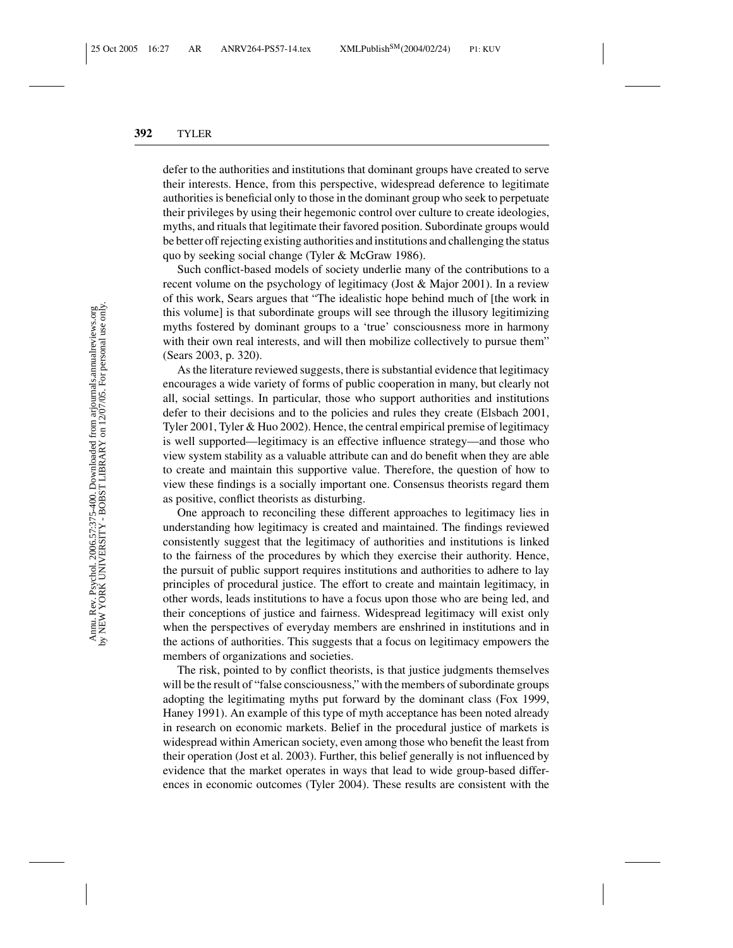defer to the authorities and institutions that dominant groups have created to serve their interests. Hence, from this perspective, widespread deference to legitimate authorities is beneficial only to those in the dominant group who seek to perpetuate their privileges by using their hegemonic control over culture to create ideologies, myths, and rituals that legitimate their favored position. Subordinate groups would be better off rejecting existing authorities and institutions and challenging the status quo by seeking social change (Tyler & McGraw 1986).

Such conflict-based models of society underlie many of the contributions to a recent volume on the psychology of legitimacy (Jost & Major 2001). In a review of this work, Sears argues that "The idealistic hope behind much of [the work in this volume] is that subordinate groups will see through the illusory legitimizing myths fostered by dominant groups to a 'true' consciousness more in harmony with their own real interests, and will then mobilize collectively to pursue them" (Sears 2003, p. 320).

As the literature reviewed suggests, there is substantial evidence that legitimacy encourages a wide variety of forms of public cooperation in many, but clearly not all, social settings. In particular, those who support authorities and institutions defer to their decisions and to the policies and rules they create (Elsbach 2001, Tyler 2001, Tyler & Huo 2002). Hence, the central empirical premise of legitimacy is well supported—legitimacy is an effective influence strategy—and those who view system stability as a valuable attribute can and do benefit when they are able to create and maintain this supportive value. Therefore, the question of how to view these findings is a socially important one. Consensus theorists regard them as positive, conflict theorists as disturbing.

One approach to reconciling these different approaches to legitimacy lies in understanding how legitimacy is created and maintained. The findings reviewed consistently suggest that the legitimacy of authorities and institutions is linked to the fairness of the procedures by which they exercise their authority. Hence, the pursuit of public support requires institutions and authorities to adhere to lay principles of procedural justice. The effort to create and maintain legitimacy, in other words, leads institutions to have a focus upon those who are being led, and their conceptions of justice and fairness. Widespread legitimacy will exist only when the perspectives of everyday members are enshrined in institutions and in the actions of authorities. This suggests that a focus on legitimacy empowers the members of organizations and societies.

The risk, pointed to by conflict theorists, is that justice judgments themselves will be the result of "false consciousness," with the members of subordinate groups adopting the legitimating myths put forward by the dominant class (Fox 1999, Haney 1991). An example of this type of myth acceptance has been noted already in research on economic markets. Belief in the procedural justice of markets is widespread within American society, even among those who benefit the least from their operation (Jost et al. 2003). Further, this belief generally is not influenced by evidence that the market operates in ways that lead to wide group-based differences in economic outcomes (Tyler 2004). These results are consistent with the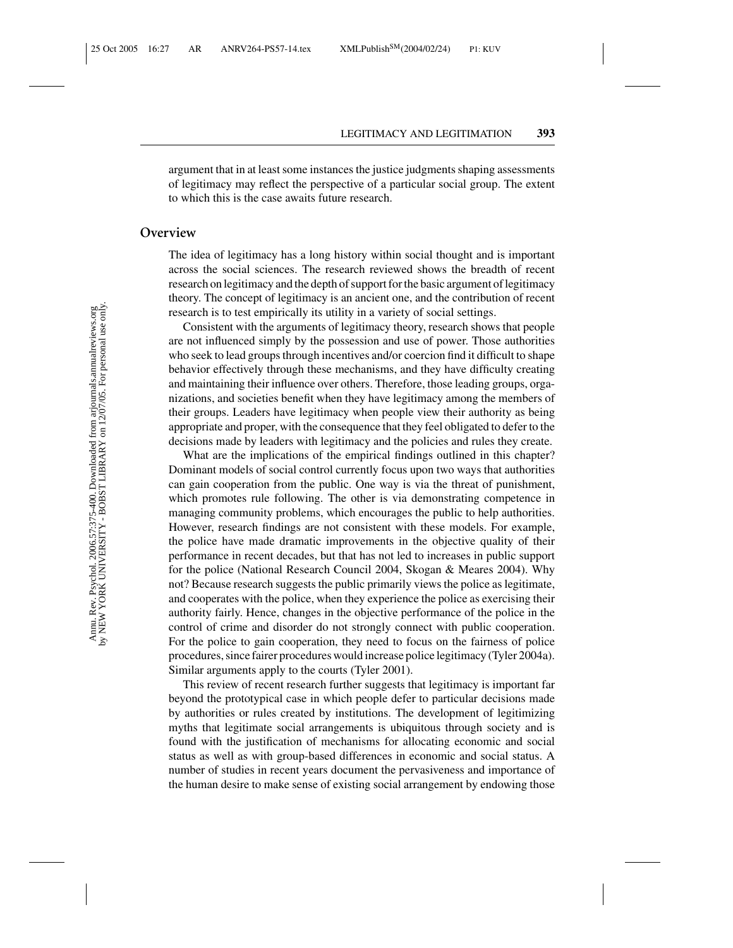argument that in at least some instances the justice judgments shaping assessments of legitimacy may reflect the perspective of a particular social group. The extent to which this is the case awaits future research.

#### **Overview**

The idea of legitimacy has a long history within social thought and is important across the social sciences. The research reviewed shows the breadth of recent research on legitimacy and the depth of support for the basic argument of legitimacy theory. The concept of legitimacy is an ancient one, and the contribution of recent research is to test empirically its utility in a variety of social settings.

Consistent with the arguments of legitimacy theory, research shows that people are not influenced simply by the possession and use of power. Those authorities who seek to lead groups through incentives and/or coercion find it difficult to shape behavior effectively through these mechanisms, and they have difficulty creating and maintaining their influence over others. Therefore, those leading groups, organizations, and societies benefit when they have legitimacy among the members of their groups. Leaders have legitimacy when people view their authority as being appropriate and proper, with the consequence that they feel obligated to defer to the decisions made by leaders with legitimacy and the policies and rules they create.

What are the implications of the empirical findings outlined in this chapter? Dominant models of social control currently focus upon two ways that authorities can gain cooperation from the public. One way is via the threat of punishment, which promotes rule following. The other is via demonstrating competence in managing community problems, which encourages the public to help authorities. However, research findings are not consistent with these models. For example, the police have made dramatic improvements in the objective quality of their performance in recent decades, but that has not led to increases in public support for the police (National Research Council 2004, Skogan & Meares 2004). Why not? Because research suggests the public primarily views the police as legitimate, and cooperates with the police, when they experience the police as exercising their authority fairly. Hence, changes in the objective performance of the police in the control of crime and disorder do not strongly connect with public cooperation. For the police to gain cooperation, they need to focus on the fairness of police procedures, since fairer procedures would increase police legitimacy (Tyler 2004a). Similar arguments apply to the courts (Tyler 2001).

This review of recent research further suggests that legitimacy is important far beyond the prototypical case in which people defer to particular decisions made by authorities or rules created by institutions. The development of legitimizing myths that legitimate social arrangements is ubiquitous through society and is found with the justification of mechanisms for allocating economic and social status as well as with group-based differences in economic and social status. A number of studies in recent years document the pervasiveness and importance of the human desire to make sense of existing social arrangement by endowing those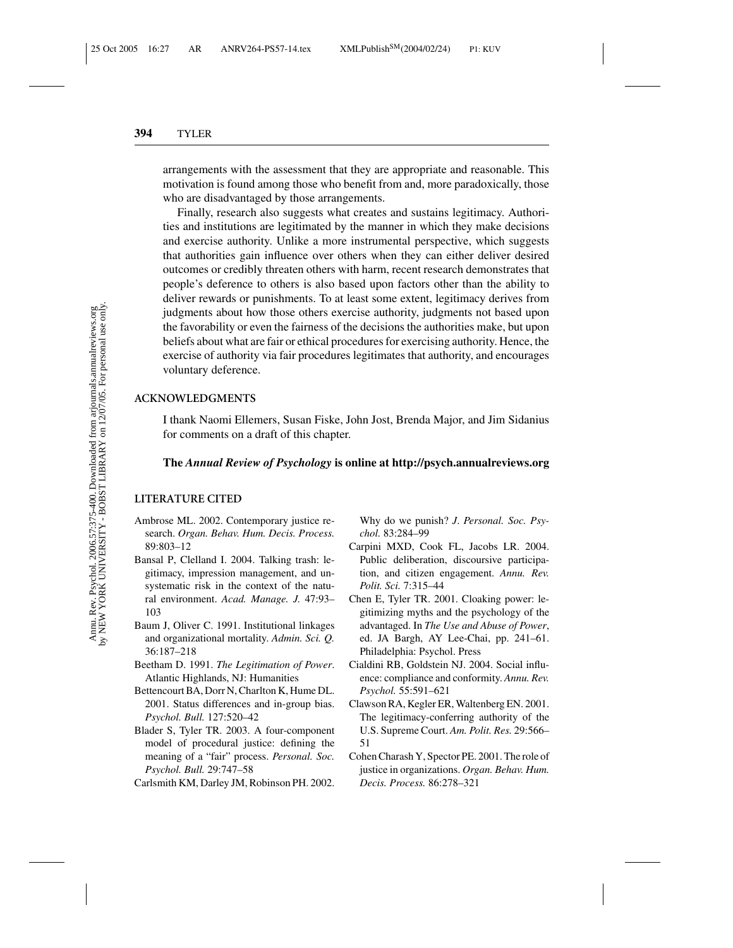arrangements with the assessment that they are appropriate and reasonable. This motivation is found among those who benefit from and, more paradoxically, those who are disadvantaged by those arrangements.

Finally, research also suggests what creates and sustains legitimacy. Authorities and institutions are legitimated by the manner in which they make decisions and exercise authority. Unlike a more instrumental perspective, which suggests that authorities gain influence over others when they can either deliver desired outcomes or credibly threaten others with harm, recent research demonstrates that people's deference to others is also based upon factors other than the ability to deliver rewards or punishments. To at least some extent, legitimacy derives from judgments about how those others exercise authority, judgments not based upon the favorability or even the fairness of the decisions the authorities make, but upon beliefs about what are fair or ethical procedures for exercising authority. Hence, the exercise of authority via fair procedures legitimates that authority, and encourages voluntary deference.

#### **ACKNOWLEDGMENTS**

I thank Naomi Ellemers, Susan Fiske, John Jost, Brenda Major, and Jim Sidanius for comments on a draft of this chapter.

#### **The** *Annual Review of Psychology* **is online at http://psych.annualreviews.org**

#### **LITERATURE CITED**

- Ambrose ML. 2002. Contemporary justice research. *Organ. Behav. Hum. Decis. Process.* 89:803–12
- Bansal P, Clelland I. 2004. Talking trash: legitimacy, impression management, and unsystematic risk in the context of the natural environment. *Acad. Manage. J.* 47:93– 103
- Baum J, Oliver C. 1991. Institutional linkages and organizational mortality. *Admin. Sci. Q.* 36:187–218
- Beetham D. 1991. *The Legitimation of Power*. Atlantic Highlands, NJ: Humanities
- Bettencourt BA, Dorr N, Charlton K, Hume DL. 2001. Status differences and in-group bias. *Psychol. Bull.* 127:520–42
- Blader S, Tyler TR. 2003. A four-component model of procedural justice: defining the meaning of a "fair" process. *Personal. Soc. Psychol. Bull.* 29:747–58
- Carlsmith KM, Darley JM, Robinson PH. 2002.

Why do we punish? *J*. *Personal. Soc. Psychol.* 83:284–99

- Carpini MXD, Cook FL, Jacobs LR. 2004. Public deliberation, discoursive participation, and citizen engagement. *Annu. Rev. Polit. Sci.* 7:315–44
- Chen E, Tyler TR. 2001. Cloaking power: legitimizing myths and the psychology of the advantaged. In *The Use and Abuse of Power*, ed. JA Bargh, AY Lee-Chai, pp. 241–61. Philadelphia: Psychol. Press
- Cialdini RB, Goldstein NJ. 2004. Social influence: compliance and conformity. *Annu. Rev. Psychol.* 55:591–621
- Clawson RA, Kegler ER, Waltenberg EN. 2001. The legitimacy-conferring authority of the U.S. Supreme Court. *Am. Polit. Res.* 29:566– 51
- Cohen Charash Y, Spector PE. 2001. The role of justice in organizations. *Organ. Behav. Hum. Decis. Process.* 86:278–321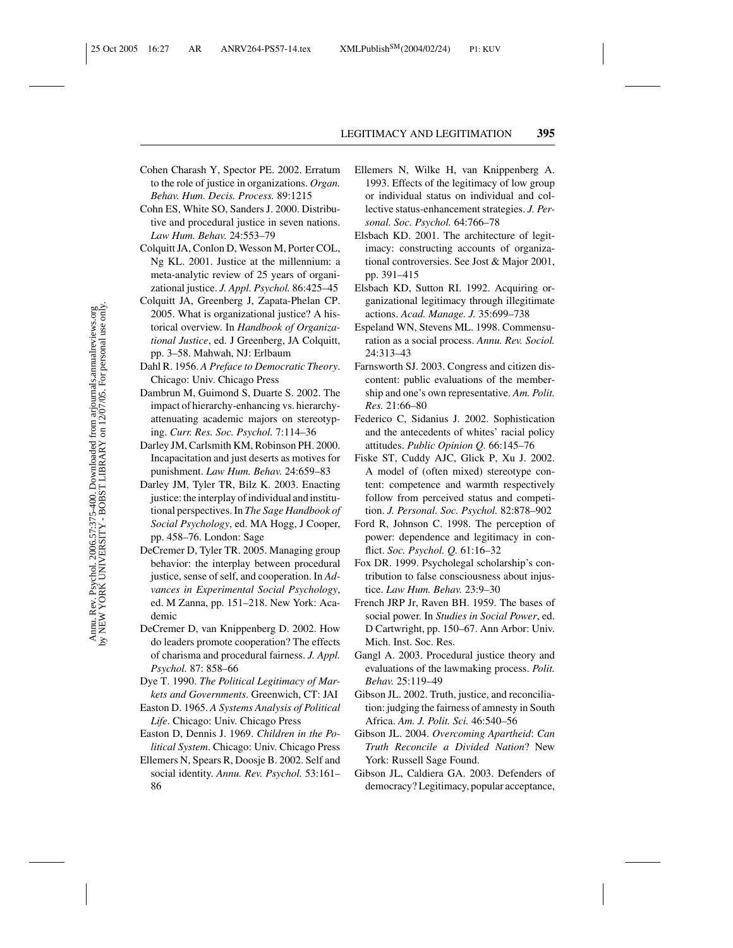- Cohen Charash Y, Spector PE. 2002. Erratum to the role of justice in organizations. *Organ. Behav. Hum. Decis. Process.* 89:1215
- Cohn ES, White SO, Sanders J. 2000. Distributive and procedural justice in seven nations. *Law Hum. Behav.* 24:553–79
- Colquitt JA, Conlon D, Wesson M, Porter COL, Ng KL. 2001. Justice at the millennium: a meta-analytic review of 25 years of organizational justice. *J. Appl. Psychol.* 86:425–45
- Colquitt JA, Greenberg J, Zapata-Phelan CP. 2005. What is organizational justice? A historical overview. In *Handbook of Organizational Justice*, ed. J Greenberg, JA Colquitt, pp. 3–58. Mahwah, NJ: Erlbaum
- Dahl R. 1956. *A Preface to Democratic Theory*. Chicago: Univ. Chicago Press
- Dambrun M, Guimond S, Duarte S. 2002. The impact of hierarchy-enhancing vs. hierarchyattenuating academic majors on stereotyping. *Curr. Res. Soc. Psychol.* 7:114–36
- Darley JM, Carlsmith KM, Robinson PH. 2000. Incapacitation and just deserts as motives for punishment. *Law Hum. Behav.* 24:659–83
- Darley JM, Tyler TR, Bilz K. 2003. Enacting justice: the interplay of individual and institutional perspectives. In *The Sage Handbook of Social Psychology*, ed. MA Hogg, J Cooper, pp. 458–76. London: Sage
- DeCremer D, Tyler TR. 2005. Managing group behavior: the interplay between procedural justice, sense of self, and cooperation. In *Advances in Experimental Social Psychology*, ed. M Zanna, pp. 151–218. New York: Academic
- DeCremer D, van Knippenberg D. 2002. How do leaders promote cooperation? The effects of charisma and procedural fairness. *J. Appl. Psychol.* 87: 858–66
- Dye T. 1990. *The Political Legitimacy of Markets and Governments*. Greenwich, CT: JAI
- Easton D. 1965. *A Systems Analysis of Political Life*. Chicago: Univ. Chicago Press
- Easton D, Dennis J. 1969. *Children in the Political System*. Chicago: Univ. Chicago Press
- Ellemers N, Spears R, Doosje B. 2002. Self and social identity. *Annu. Rev. Psychol.* 53:161– 86
- Ellemers N, Wilke H, van Knippenberg A. 1993. Effects of the legitimacy of low group or individual status on individual and collective status-enhancement strategies. *J. Personal. Soc. Psychol.* 64:766–78
- Elsbach KD. 2001. The architecture of legitimacy: constructing accounts of organizational controversies. See Jost & Major 2001, pp. 391–415
- Elsbach KD, Sutton RI. 1992. Acquiring organizational legitimacy through illegitimate actions. *Acad. Manage. J.* 35:699–738
- Espeland WN, Stevens ML. 1998. Commensuration as a social process. *Annu. Rev. Sociol.* 24:313–43
- Farnsworth SJ. 2003. Congress and citizen discontent: public evaluations of the membership and one's own representative. *Am. Polit. Res.* 21:66–80
- Federico C, Sidanius J. 2002. Sophistication and the antecedents of whites' racial policy attitudes. *Public Opinion Q.* 66:145–76
- Fiske ST, Cuddy AJC, Glick P, Xu J. 2002. A model of (often mixed) stereotype content: competence and warmth respectively follow from perceived status and competition. *J. Personal. Soc. Psychol.* 82:878–902
- Ford R, Johnson C. 1998. The perception of power: dependence and legitimacy in conflict. *Soc. Psychol. Q.* 61:16–32
- Fox DR. 1999. Psycholegal scholarship's contribution to false consciousness about injustice. *Law Hum. Behav.* 23:9–30
- French JRP Jr, Raven BH. 1959. The bases of social power. In *Studies in Social Power*, ed. D Cartwright, pp. 150–67. Ann Arbor: Univ. Mich. Inst. Soc. Res.
- Gangl A. 2003. Procedural justice theory and evaluations of the lawmaking process. *Polit. Behav.* 25:119–49
- Gibson JL. 2002. Truth, justice, and reconciliation: judging the fairness of amnesty in South Africa. *Am. J. Polit. Sci.* 46:540–56
- Gibson JL. 2004. *Overcoming Apartheid*: *Can Truth Reconcile a Divided Nation*? New York: Russell Sage Found.
- Gibson JL, Caldiera GA. 2003. Defenders of democracy? Legitimacy, popular acceptance,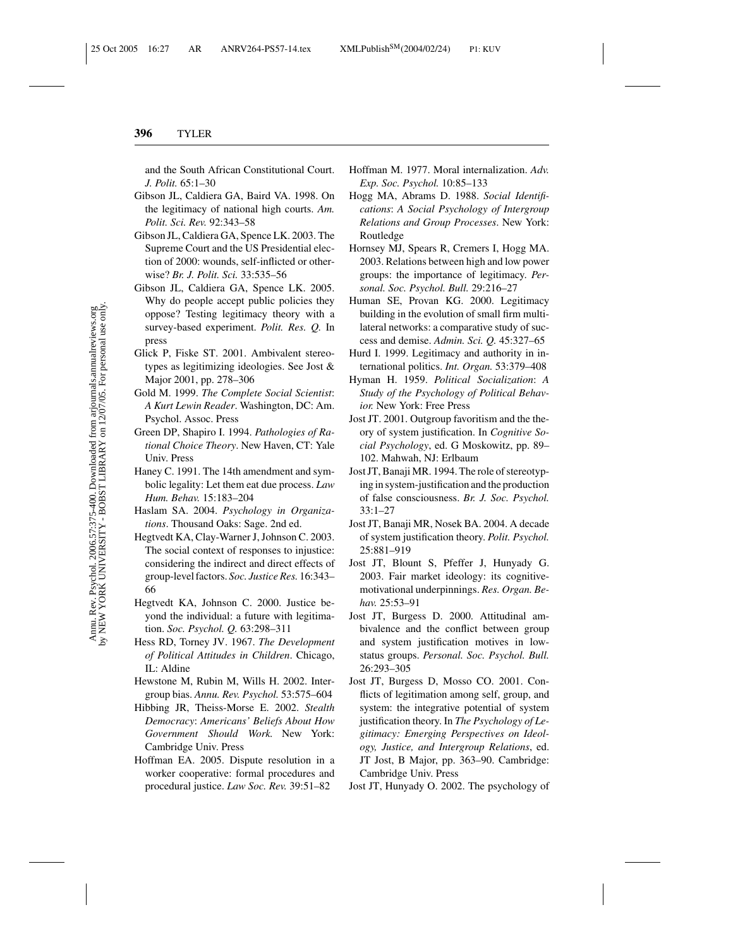and the South African Constitutional Court. *J. Polit.* 65:1–30

- Gibson JL, Caldiera GA, Baird VA. 1998. On the legitimacy of national high courts. *Am. Polit. Sci. Rev.* 92:343–58
- Gibson JL, Caldiera GA, Spence LK. 2003. The Supreme Court and the US Presidential election of 2000: wounds, self-inflicted or otherwise? *Br. J. Polit. Sci.* 33:535–56
- Gibson JL, Caldiera GA, Spence LK. 2005. Why do people accept public policies they oppose? Testing legitimacy theory with a survey-based experiment. *Polit. Res. Q.* In press
- Glick P, Fiske ST. 2001. Ambivalent stereotypes as legitimizing ideologies. See Jost & Major 2001, pp. 278–306
- Gold M. 1999. *The Complete Social Scientist*: *A Kurt Lewin Reader*. Washington, DC: Am. Psychol. Assoc. Press
- Green DP, Shapiro I. 1994. *Pathologies of Rational Choice Theory*. New Haven, CT: Yale Univ. Press
- Haney C. 1991. The 14th amendment and symbolic legality: Let them eat due process. *Law Hum. Behav.* 15:183–204
- Haslam SA. 2004. *Psychology in Organizations*. Thousand Oaks: Sage. 2nd ed.
- Hegtvedt KA, Clay-Warner J, Johnson C. 2003. The social context of responses to injustice: considering the indirect and direct effects of group-level factors. *Soc. Justice Res.* 16:343– 66
- Hegtvedt KA, Johnson C. 2000. Justice beyond the individual: a future with legitimation. *Soc. Psychol. Q.* 63:298–311
- Hess RD, Torney JV. 1967. *The Development of Political Attitudes in Children*. Chicago, IL: Aldine
- Hewstone M, Rubin M, Wills H. 2002. Intergroup bias. *Annu. Rev. Psychol.* 53:575–604
- Hibbing JR, Theiss-Morse E. 2002. *Stealth Democracy*: *Americans' Beliefs About How Government Should Work.* New York: Cambridge Univ. Press
- Hoffman EA. 2005. Dispute resolution in a worker cooperative: formal procedures and procedural justice. *Law Soc. Rev.* 39:51–82
- Hoffman M. 1977. Moral internalization. *Adv. Exp. Soc. Psychol.* 10:85–133
- Hogg MA, Abrams D. 1988. *Social Identifications*: *A Social Psychology of Intergroup Relations and Group Processes*. New York: Routledge
- Hornsey MJ, Spears R, Cremers I, Hogg MA. 2003. Relations between high and low power groups: the importance of legitimacy. *Personal. Soc. Psychol. Bull.* 29:216–27
- Human SE, Provan KG. 2000. Legitimacy building in the evolution of small firm multilateral networks: a comparative study of success and demise. *Admin. Sci. Q.* 45:327–65
- Hurd I. 1999. Legitimacy and authority in international politics. *Int. Organ.* 53:379–408
- Hyman H. 1959. *Political Socialization*: *A Study of the Psychology of Political Behavior.* New York: Free Press
- Jost JT. 2001. Outgroup favoritism and the theory of system justification. In *Cognitive Social Psychology*, ed. G Moskowitz, pp. 89– 102. Mahwah, NJ: Erlbaum
- Jost JT, Banaji MR. 1994. The role of stereotyping in system-justification and the production of false consciousness. *Br. J. Soc. Psychol.* 33:1–27
- Jost JT, Banaji MR, Nosek BA. 2004. A decade of system justification theory. *Polit. Psychol.* 25:881–919
- Jost JT, Blount S, Pfeffer J, Hunyady G. 2003. Fair market ideology: its cognitivemotivational underpinnings. *Res. Organ. Behav.* 25:53–91
- Jost JT, Burgess D. 2000. Attitudinal ambivalence and the conflict between group and system justification motives in lowstatus groups. *Personal. Soc. Psychol. Bull.* 26:293–305
- Jost JT, Burgess D, Mosso CO. 2001. Conflicts of legitimation among self, group, and system: the integrative potential of system justification theory. In *The Psychology of Legitimacy: Emerging Perspectives on Ideology, Justice, and Intergroup Relations*, ed. JT Jost, B Major, pp. 363–90. Cambridge: Cambridge Univ. Press
- Jost JT, Hunyady O. 2002. The psychology of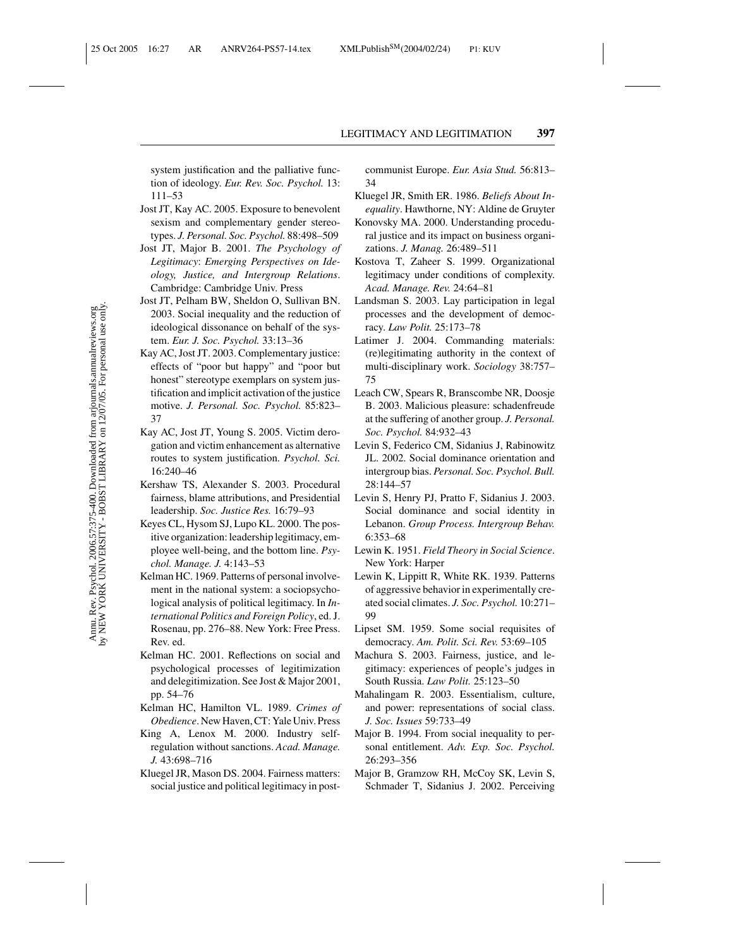system justification and the palliative function of ideology. *Eur. Rev. Soc. Psychol.* 13: 111–53

- Jost JT, Kay AC. 2005. Exposure to benevolent sexism and complementary gender stereotypes. *J. Personal. Soc. Psychol.* 88:498–509
- Jost JT, Major B. 2001. *The Psychology of Legitimacy*: *Emerging Perspectives on Ideology, Justice, and Intergroup Relations*. Cambridge: Cambridge Univ. Press
- Jost JT, Pelham BW, Sheldon O, Sullivan BN. 2003. Social inequality and the reduction of ideological dissonance on behalf of the system. *Eur. J. Soc. Psychol.* 33:13–36
- Kay AC, Jost JT. 2003. Complementary justice: effects of "poor but happy" and "poor but honest" stereotype exemplars on system justification and implicit activation of the justice motive. *J. Personal. Soc. Psychol.* 85:823– 37
- Kay AC, Jost JT, Young S. 2005. Victim derogation and victim enhancement as alternative routes to system justification. *Psychol. Sci.* 16:240–46
- Kershaw TS, Alexander S. 2003. Procedural fairness, blame attributions, and Presidential leadership. *Soc. Justice Res.* 16:79–93
- Keyes CL, Hysom SJ, Lupo KL. 2000. The positive organization: leadership legitimacy, employee well-being, and the bottom line. *Psychol. Manage. J.* 4:143–53
- Kelman HC. 1969. Patterns of personal involvement in the national system: a sociopsychological analysis of political legitimacy. In *International Politics and Foreign Policy*, ed. J. Rosenau, pp. 276–88. New York: Free Press. Rev. ed.
- Kelman HC. 2001. Reflections on social and psychological processes of legitimization and delegitimization. See Jost & Major 2001, pp. 54–76
- Kelman HC, Hamilton VL. 1989. *Crimes of Obedience*. NewHaven, CT: Yale Univ. Press
- King A, Lenox M. 2000. Industry selfregulation without sanctions. *Acad. Manage. J.* 43:698–716
- Kluegel JR, Mason DS. 2004. Fairness matters: social justice and political legitimacy in post-

communist Europe. *Eur. Asia Stud.* 56:813– 34

- Kluegel JR, Smith ER. 1986. *Beliefs About Inequality*. Hawthorne, NY: Aldine de Gruyter
- Konovsky MA. 2000. Understanding procedural justice and its impact on business organizations. *J. Manag.* 26:489–511
- Kostova T, Zaheer S. 1999. Organizational legitimacy under conditions of complexity. *Acad. Manage. Rev.* 24:64–81
- Landsman S. 2003. Lay participation in legal processes and the development of democracy. *Law Polit.* 25:173–78
- Latimer J. 2004. Commanding materials: (re)legitimating authority in the context of multi-disciplinary work. *Sociology* 38:757– 75
- Leach CW, Spears R, Branscombe NR, Doosje B. 2003. Malicious pleasure: schadenfreude at the suffering of another group. *J. Personal. Soc. Psychol.* 84:932–43
- Levin S, Federico CM, Sidanius J, Rabinowitz JL. 2002. Social dominance orientation and intergroup bias. *Personal. Soc. Psychol. Bull.* 28:144–57
- Levin S, Henry PJ, Pratto F, Sidanius J. 2003. Social dominance and social identity in Lebanon. *Group Process. Intergroup Behav.* 6:353–68
- Lewin K. 1951. *Field Theory in Social Science*. New York: Harper
- Lewin K, Lippitt R, White RK. 1939. Patterns of aggressive behavior in experimentally created social climates. *J. Soc. Psychol.* 10:271– 99
- Lipset SM. 1959. Some social requisites of democracy. *Am. Polit. Sci. Rev.* 53:69–105
- Machura S. 2003. Fairness, justice, and legitimacy: experiences of people's judges in South Russia. *Law Polit.* 25:123–50
- Mahalingam R. 2003. Essentialism, culture, and power: representations of social class. *J. Soc. Issues* 59:733–49
- Major B. 1994. From social inequality to personal entitlement. *Adv. Exp. Soc. Psychol.* 26:293–356
- Major B, Gramzow RH, McCoy SK, Levin S, Schmader T, Sidanius J. 2002. Perceiving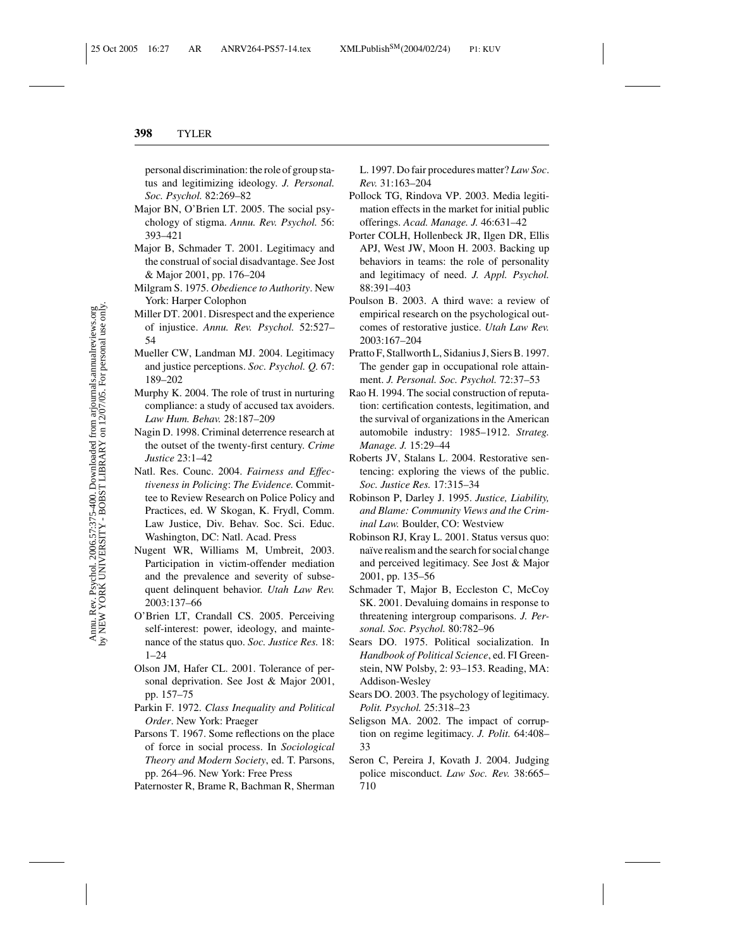personal discrimination: the role of group status and legitimizing ideology. *J. Personal. Soc. Psychol.* 82:269–82

- Major BN, O'Brien LT. 2005. The social psychology of stigma. *Annu. Rev. Psychol.* 56: 393–421
- Major B, Schmader T. 2001. Legitimacy and the construal of social disadvantage. See Jost & Major 2001, pp. 176–204
- Milgram S. 1975. *Obedience to Authority*. New York: Harper Colophon
- Miller DT. 2001. Disrespect and the experience of injustice. *Annu. Rev. Psychol.* 52:527– 54
- Mueller CW, Landman MJ. 2004. Legitimacy and justice perceptions. *Soc. Psychol. Q.* 67: 189–202
- Murphy K. 2004. The role of trust in nurturing compliance: a study of accused tax avoiders. *Law Hum. Behav.* 28:187–209
- Nagin D. 1998. Criminal deterrence research at the outset of the twenty-first century. *Crime Justice* 23:1–42
- Natl. Res. Counc. 2004. *Fairness and Effectiveness in Policing*: *The Evidence.* Committee to Review Research on Police Policy and Practices, ed. W Skogan, K. Frydl, Comm. Law Justice, Div. Behav. Soc. Sci. Educ. Washington, DC: Natl. Acad. Press
- Nugent WR, Williams M, Umbreit, 2003. Participation in victim-offender mediation and the prevalence and severity of subsequent delinquent behavior. *Utah Law Rev.* 2003:137–66
- O'Brien LT, Crandall CS. 2005. Perceiving self-interest: power, ideology, and maintenance of the status quo. *Soc. Justice Res.* 18: 1–24
- Olson JM, Hafer CL. 2001. Tolerance of personal deprivation. See Jost & Major 2001, pp. 157–75
- Parkin F. 1972. *Class Inequality and Political Order*. New York: Praeger
- Parsons T. 1967. Some reflections on the place of force in social process. In *Sociological Theory and Modern Society*, ed. T. Parsons, pp. 264–96. New York: Free Press
- Paternoster R, Brame R, Bachman R, Sherman

L. 1997. Do fair procedures matter? *Law Soc*. *Rev.* 31:163–204

- Pollock TG, Rindova VP. 2003. Media legitimation effects in the market for initial public offerings. *Acad. Manage. J.* 46:631–42
- Porter COLH, Hollenbeck JR, Ilgen DR, Ellis APJ, West JW, Moon H. 2003. Backing up behaviors in teams: the role of personality and legitimacy of need. *J. Appl. Psychol.* 88:391–403
- Poulson B. 2003. A third wave: a review of empirical research on the psychological outcomes of restorative justice. *Utah Law Rev.* 2003:167–204
- Pratto F, Stallworth L, Sidanius J, Siers B. 1997. The gender gap in occupational role attainment. *J. Personal. Soc. Psychol.* 72:37–53
- Rao H. 1994. The social construction of reputation: certification contests, legitimation, and the survival of organizations in the American automobile industry: 1985–1912. *Strateg. Manage. J.* 15:29–44
- Roberts JV, Stalans L. 2004. Restorative sentencing: exploring the views of the public. *Soc. Justice Res.* 17:315–34
- Robinson P, Darley J. 1995. *Justice, Liability, and Blame: Community Views and the Criminal Law.* Boulder, CO: Westview
- Robinson RJ, Kray L. 2001. Status versus quo: naïve realism and the search for social change and perceived legitimacy. See Jost & Major 2001, pp. 135–56
- Schmader T, Major B, Eccleston C, McCoy SK. 2001. Devaluing domains in response to threatening intergroup comparisons. *J. Personal. Soc. Psychol.* 80:782–96
- Sears DO. 1975. Political socialization. In *Handbook of Political Science*, ed. FI Greenstein, NW Polsby, 2: 93–153. Reading, MA: Addison-Wesley
- Sears DO. 2003. The psychology of legitimacy. *Polit. Psychol.* 25:318–23
- Seligson MA. 2002. The impact of corruption on regime legitimacy. *J. Polit.* 64:408– 33
- Seron C, Pereira J, Kovath J. 2004. Judging police misconduct. *Law Soc. Rev.* 38:665– 710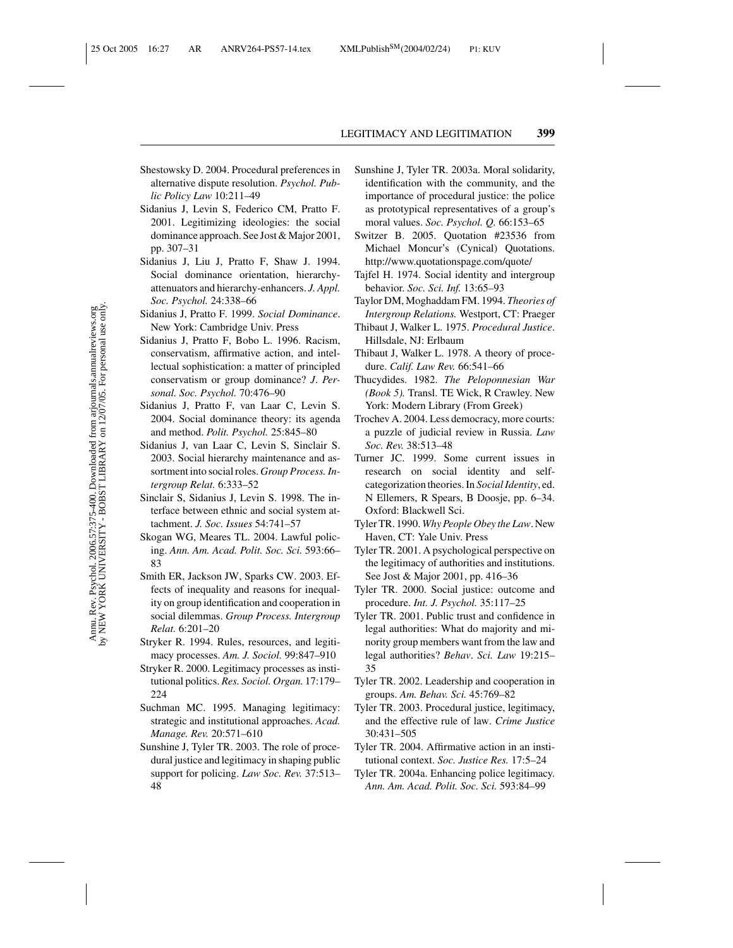- Shestowsky D. 2004. Procedural preferences in alternative dispute resolution. *Psychol. Public Policy Law* 10:211–49
- Sidanius J, Levin S, Federico CM, Pratto F. 2001. Legitimizing ideologies: the social dominance approach. See Jost & Major 2001, pp. 307–31
- Sidanius J, Liu J, Pratto F, Shaw J. 1994. Social dominance orientation, hierarchyattenuators and hierarchy-enhancers. *J. Appl. Soc. Psychol.* 24:338–66
- Sidanius J, Pratto F. 1999. *Social Dominance*. New York: Cambridge Univ. Press
- Sidanius J, Pratto F, Bobo L. 1996. Racism, conservatism, affirmative action, and intellectual sophistication: a matter of principled conservatism or group dominance? *J*. *Personal. Soc. Psychol.* 70:476–90
- Sidanius J, Pratto F, van Laar C, Levin S. 2004. Social dominance theory: its agenda and method. *Polit. Psychol.* 25:845–80
- Sidanius J, van Laar C, Levin S, Sinclair S. 2003. Social hierarchy maintenance and assortment into social roles. *Group Process. Intergroup Relat.* 6:333–52
- Sinclair S, Sidanius J, Levin S. 1998. The interface between ethnic and social system attachment. *J. Soc. Issues* 54:741–57
- Skogan WG, Meares TL. 2004. Lawful policing. *Ann. Am. Acad. Polit. Soc. Sci.* 593:66– 83
- Smith ER, Jackson JW, Sparks CW. 2003. Effects of inequality and reasons for inequality on group identification and cooperation in social dilemmas. *Group Process. Intergroup Relat.* 6:201–20
- Stryker R. 1994. Rules, resources, and legitimacy processes. *Am. J. Sociol.* 99:847–910
- Stryker R. 2000. Legitimacy processes as institutional politics. *Res. Sociol. Organ.* 17:179– 224
- Suchman MC. 1995. Managing legitimacy: strategic and institutional approaches. *Acad. Manage. Rev.* 20:571–610
- Sunshine J, Tyler TR. 2003. The role of procedural justice and legitimacy in shaping public support for policing. *Law Soc. Rev.* 37:513– 48
- Sunshine J, Tyler TR. 2003a. Moral solidarity, identification with the community, and the importance of procedural justice: the police as prototypical representatives of a group's moral values. *Soc. Psychol. Q.* 66:153–65
- Switzer B. 2005. Quotation #23536 from Michael Moncur's (Cynical) Quotations. http://www.quotationspage.com/quote/
- Tajfel H. 1974. Social identity and intergroup behavior. *Soc. Sci. Inf.* 13:65–93
- Taylor DM, Moghaddam FM. 1994. *Theories of Intergroup Relations.* Westport, CT: Praeger
- Thibaut J, Walker L. 1975. *Procedural Justice*. Hillsdale, NJ: Erlbaum
- Thibaut J, Walker L. 1978. A theory of procedure. *Calif. Law Rev.* 66:541–66
- Thucydides. 1982. *The Peloponnesian War (Book 5).* Transl. TE Wick, R Crawley. New York: Modern Library (From Greek)
- Trochev A. 2004. Less democracy, more courts: a puzzle of judicial review in Russia. *Law Soc. Rev.* 38:513–48
- Turner JC. 1999. Some current issues in research on social identity and selfcategorization theories. In *Social Identity*, ed. N Ellemers, R Spears, B Doosje, pp. 6–34. Oxford: Blackwell Sci.
- Tyler TR. 1990. *Why People Obey the Law*. New Haven, CT: Yale Univ. Press
- Tyler TR. 2001. A psychological perspective on the legitimacy of authorities and institutions. See Jost & Major 2001, pp. 416–36
- Tyler TR. 2000. Social justice: outcome and procedure. *Int. J. Psychol.* 35:117–25
- Tyler TR. 2001. Public trust and confidence in legal authorities: What do majority and minority group members want from the law and legal authorities? *Behav*. *Sci. Law* 19:215– 35
- Tyler TR. 2002. Leadership and cooperation in groups. *Am. Behav. Sci.* 45:769–82
- Tyler TR. 2003. Procedural justice, legitimacy, and the effective rule of law. *Crime Justice* 30:431–505
- Tyler TR. 2004. Affirmative action in an institutional context. *Soc. Justice Res.* 17:5–24
- Tyler TR. 2004a. Enhancing police legitimacy. *Ann. Am. Acad. Polit. Soc. Sci.* 593:84–99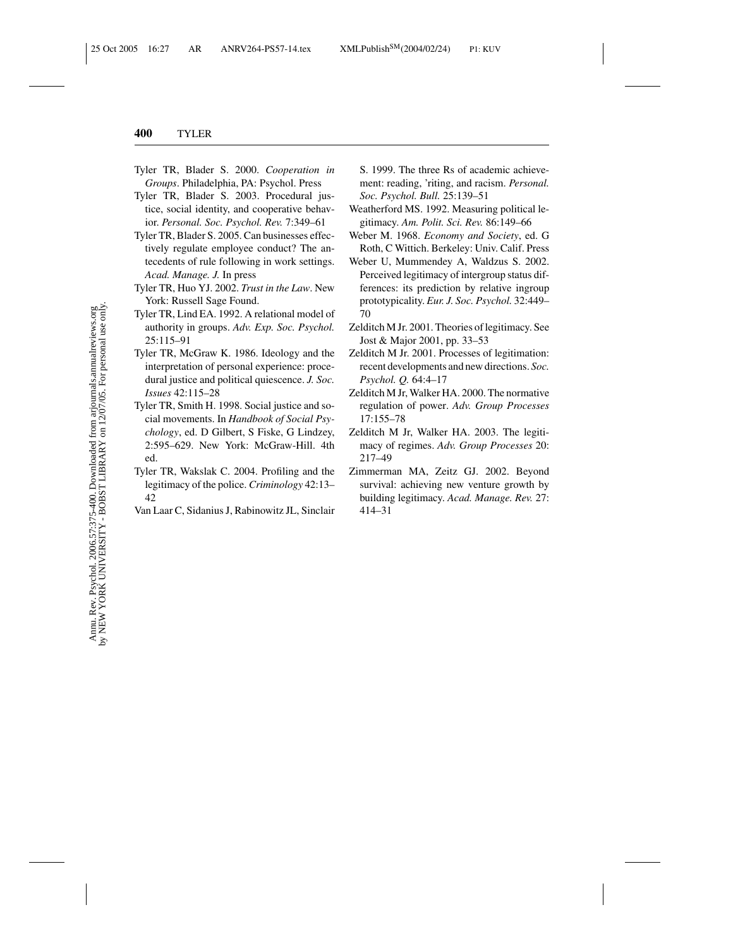- Tyler TR, Blader S. 2000. *Cooperation in Groups*. Philadelphia, PA: Psychol. Press
- Tyler TR, Blader S. 2003. Procedural justice, social identity, and cooperative behavior. *Personal. Soc. Psychol. Rev.* 7:349–61
- Tyler TR, Blader S. 2005. Can businesses effectively regulate employee conduct? The antecedents of rule following in work settings. *Acad. Manage. J.* In press
- Tyler TR, Huo YJ. 2002. *Trust in the Law*. New York: Russell Sage Found.
- Tyler TR, Lind EA. 1992. A relational model of authority in groups. *Adv. Exp. Soc. Psychol.* 25:115–91
- Tyler TR, McGraw K. 1986. Ideology and the interpretation of personal experience: procedural justice and political quiescence. *J. Soc. Issues* 42:115–28
- Tyler TR, Smith H. 1998. Social justice and social movements. In *Handbook of Social Psychology*, ed. D Gilbert, S Fiske, G Lindzey, 2:595–629. New York: McGraw-Hill. 4th ed.
- Tyler TR, Wakslak C. 2004. Profiling and the legitimacy of the police. *Criminology* 42:13– 42
- Van Laar C, Sidanius J, Rabinowitz JL, Sinclair

S. 1999. The three Rs of academic achievement: reading, 'riting, and racism. *Personal. Soc. Psychol. Bull.* 25:139–51

- Weatherford MS. 1992. Measuring political legitimacy. *Am. Polit. Sci. Rev.* 86:149–66
- Weber M. 1968. *Economy and Society*, ed. G Roth, C Wittich. Berkeley: Univ. Calif. Press
- Weber U, Mummendey A, Waldzus S. 2002. Perceived legitimacy of intergroup status differences: its prediction by relative ingroup prototypicality. *Eur. J. Soc. Psychol.* 32:449– 70
- Zelditch M Jr. 2001. Theories of legitimacy. See Jost & Major 2001, pp. 33–53
- Zelditch M Jr. 2001. Processes of legitimation: recent developments and new directions. *Soc. Psychol. Q.* 64:4–17
- Zelditch M Jr, Walker HA. 2000. The normative regulation of power. *Adv. Group Processes* 17:155–78
- Zelditch M Jr, Walker HA. 2003. The legitimacy of regimes. *Adv. Group Processes* 20: 217–49
- Zimmerman MA, Zeitz GJ. 2002. Beyond survival: achieving new venture growth by building legitimacy. *Acad. Manage. Rev.* 27: 414–31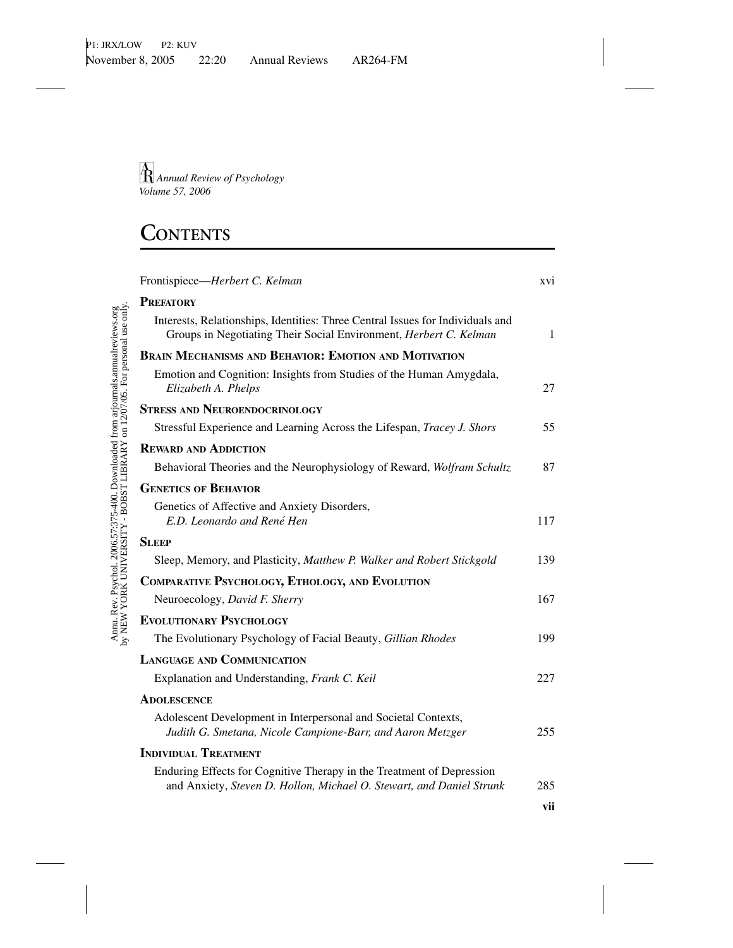# **CONTENTS**

| Frontispiece-Herbert C. Kelman                                                                                                                      | XV <sub>i</sub> |
|-----------------------------------------------------------------------------------------------------------------------------------------------------|-----------------|
| <b>PREFATORY</b>                                                                                                                                    |                 |
| Interests, Relationships, Identities: Three Central Issues for Individuals and<br>Groups in Negotiating Their Social Environment, Herbert C. Kelman | 1               |
| <b>BRAIN MECHANISMS AND BEHAVIOR: EMOTION AND MOTIVATION</b>                                                                                        |                 |
| Emotion and Cognition: Insights from Studies of the Human Amygdala,<br>Elizabeth A. Phelps                                                          | 27              |
| <b>STRESS AND NEUROENDOCRINOLOGY</b>                                                                                                                |                 |
| Stressful Experience and Learning Across the Lifespan, Tracey J. Shors                                                                              | 55              |
| <b>REWARD AND ADDICTION</b>                                                                                                                         |                 |
| Behavioral Theories and the Neurophysiology of Reward, Wolfram Schultz                                                                              | 87              |
| <b>GENETICS OF BEHAVIOR</b>                                                                                                                         |                 |
| Genetics of Affective and Anxiety Disorders,<br>E.D. Leonardo and René Hen                                                                          | 117             |
| <b>SLEEP</b>                                                                                                                                        |                 |
| Sleep, Memory, and Plasticity, Matthew P. Walker and Robert Stickgold                                                                               | 139             |
| COMPARATIVE PSYCHOLOGY, ETHOLOGY, AND EVOLUTION                                                                                                     |                 |
| Neuroecology, David F. Sherry                                                                                                                       | 167             |
| <b>EVOLUTIONARY PSYCHOLOGY</b>                                                                                                                      |                 |
| The Evolutionary Psychology of Facial Beauty, Gillian Rhodes                                                                                        | 199             |
| <b>LANGUAGE AND COMMUNICATION</b>                                                                                                                   |                 |
| Explanation and Understanding, Frank C. Keil                                                                                                        | 227             |
| <b>ADOLESCENCE</b>                                                                                                                                  |                 |
| Adolescent Development in Interpersonal and Societal Contexts,<br>Judith G. Smetana, Nicole Campione-Barr, and Aaron Metzger                        | 255             |
| <b>INDIVIDUAL TREATMENT</b>                                                                                                                         |                 |
| Enduring Effects for Cognitive Therapy in the Treatment of Depression<br>and Anxiety, Steven D. Hollon, Michael O. Stewart, and Daniel Strunk       | 285             |
|                                                                                                                                                     | vii             |
|                                                                                                                                                     |                 |